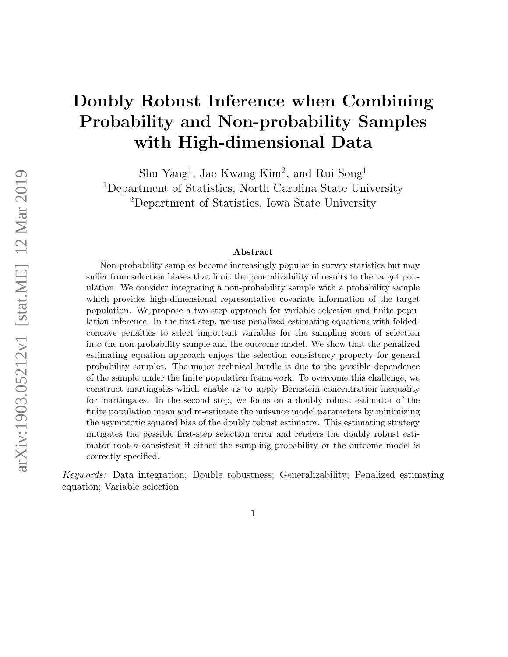# Doubly Robust Inference when Combining Probability and Non-probability Samples with High-dimensional Data

Shu Yang<sup>1</sup>, Jae Kwang Kim<sup>2</sup>, and Rui Song<sup>1</sup> <sup>1</sup>Department of Statistics, North Carolina State University <sup>2</sup>Department of Statistics, Iowa State University

#### Abstract

Non-probability samples become increasingly popular in survey statistics but may suffer from selection biases that limit the generalizability of results to the target population. We consider integrating a non-probability sample with a probability sample which provides high-dimensional representative covariate information of the target population. We propose a two-step approach for variable selection and finite population inference. In the first step, we use penalized estimating equations with foldedconcave penalties to select important variables for the sampling score of selection into the non-probability sample and the outcome model. We show that the penalized estimating equation approach enjoys the selection consistency property for general probability samples. The major technical hurdle is due to the possible dependence of the sample under the finite population framework. To overcome this challenge, we construct martingales which enable us to apply Bernstein concentration inequality for martingales. In the second step, we focus on a doubly robust estimator of the finite population mean and re-estimate the nuisance model parameters by minimizing the asymptotic squared bias of the doubly robust estimator. This estimating strategy mitigates the possible first-step selection error and renders the doubly robust estimator root-n consistent if either the sampling probability or the outcome model is correctly specified.

Keywords: Data integration; Double robustness; Generalizability; Penalized estimating equation; Variable selection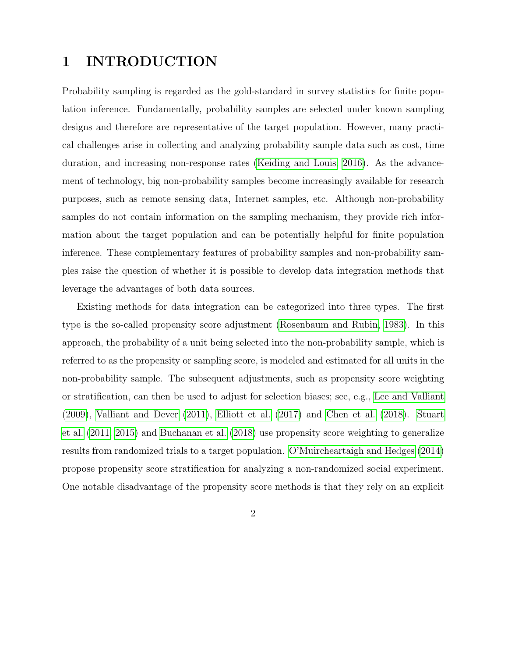## 1 INTRODUCTION

Probability sampling is regarded as the gold-standard in survey statistics for finite population inference. Fundamentally, probability samples are selected under known sampling designs and therefore are representative of the target population. However, many practical challenges arise in collecting and analyzing probability sample data such as cost, time duration, and increasing non-response rates [\(Keiding and Louis, 2016\)](#page-38-0). As the advancement of technology, big non-probability samples become increasingly available for research purposes, such as remote sensing data, Internet samples, etc. Although non-probability samples do not contain information on the sampling mechanism, they provide rich information about the target population and can be potentially helpful for finite population inference. These complementary features of probability samples and non-probability samples raise the question of whether it is possible to develop data integration methods that leverage the advantages of both data sources.

Existing methods for data integration can be categorized into three types. The first type is the so-called propensity score adjustment [\(Rosenbaum and Rubin, 1983\)](#page-39-0). In this approach, the probability of a unit being selected into the non-probability sample, which is referred to as the propensity or sampling score, is modeled and estimated for all units in the non-probability sample. The subsequent adjustments, such as propensity score weighting or stratification, can then be used to adjust for selection biases; see, e.g., [Lee and Valliant](#page-38-1) [\(2009\)](#page-38-1), [Valliant and Dever](#page-39-1) [\(2011\)](#page-39-1), [Elliott et al.](#page-37-0) [\(2017\)](#page-37-0) and [Chen et al.](#page-36-0) [\(2018\)](#page-36-0). [Stuart](#page-39-2) [et al.](#page-39-2) [\(2011;](#page-39-2) [2015\)](#page-39-3) and [Buchanan et al.](#page-36-1) [\(2018\)](#page-36-1) use propensity score weighting to generalize results from randomized trials to a target population. [O'Muircheartaigh and Hedges](#page-39-4) [\(2014\)](#page-39-4) propose propensity score stratification for analyzing a non-randomized social experiment. One notable disadvantage of the propensity score methods is that they rely on an explicit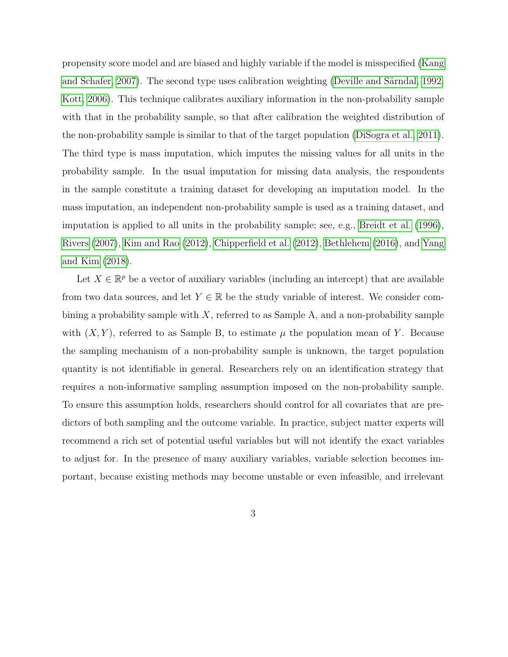propensity score model and are biased and highly variable if the model is misspecified [\(Kang](#page-38-2) and Schafer,  $2007$ ). The second type uses calibration weighting (Deville and Särndal, 1992, [Kott, 2006\)](#page-38-3). This technique calibrates auxiliary information in the non-probability sample with that in the probability sample, so that after calibration the weighted distribution of the non-probability sample is similar to that of the target population [\(DiSogra et al., 2011\)](#page-37-2). The third type is mass imputation, which imputes the missing values for all units in the probability sample. In the usual imputation for missing data analysis, the respondents in the sample constitute a training dataset for developing an imputation model. In the mass imputation, an independent non-probability sample is used as a training dataset, and imputation is applied to all units in the probability sample; see, e.g., [Breidt et al.](#page-36-2) [\(1996\)](#page-36-2), [Rivers](#page-39-5) [\(2007\)](#page-39-5), [Kim and Rao](#page-38-4) [\(2012\)](#page-38-4), [Chipperfield et al.](#page-37-3) [\(2012\)](#page-37-3), [Bethlehem](#page-36-3) [\(2016\)](#page-36-3), and [Yang](#page-40-0) [and Kim](#page-40-0) [\(2018\)](#page-40-0).

Let  $X \in \mathbb{R}^p$  be a vector of auxiliary variables (including an intercept) that are available from two data sources, and let  $Y \in \mathbb{R}$  be the study variable of interest. We consider combining a probability sample with  $X$ , referred to as Sample A, and a non-probability sample with  $(X, Y)$ , referred to as Sample B, to estimate  $\mu$  the population mean of Y. Because the sampling mechanism of a non-probability sample is unknown, the target population quantity is not identifiable in general. Researchers rely on an identification strategy that requires a non-informative sampling assumption imposed on the non-probability sample. To ensure this assumption holds, researchers should control for all covariates that are predictors of both sampling and the outcome variable. In practice, subject matter experts will recommend a rich set of potential useful variables but will not identify the exact variables to adjust for. In the presence of many auxiliary variables, variable selection becomes important, because existing methods may become unstable or even infeasible, and irrelevant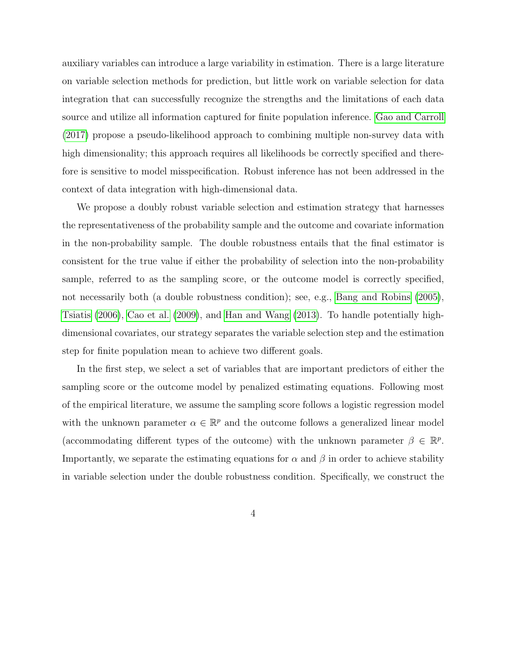auxiliary variables can introduce a large variability in estimation. There is a large literature on variable selection methods for prediction, but little work on variable selection for data integration that can successfully recognize the strengths and the limitations of each data source and utilize all information captured for finite population inference. [Gao and Carroll](#page-37-4) [\(2017\)](#page-37-4) propose a pseudo-likelihood approach to combining multiple non-survey data with high dimensionality; this approach requires all likelihoods be correctly specified and therefore is sensitive to model misspecification. Robust inference has not been addressed in the context of data integration with high-dimensional data.

We propose a doubly robust variable selection and estimation strategy that harnesses the representativeness of the probability sample and the outcome and covariate information in the non-probability sample. The double robustness entails that the final estimator is consistent for the true value if either the probability of selection into the non-probability sample, referred to as the sampling score, or the outcome model is correctly specified, not necessarily both (a double robustness condition); see, e.g., [Bang and Robins](#page-36-4) [\(2005\)](#page-36-4), [Tsiatis](#page-39-6) [\(2006\)](#page-39-6), [Cao et al.](#page-36-5) [\(2009\)](#page-36-5), and [Han and Wang](#page-37-5) [\(2013\)](#page-37-5). To handle potentially highdimensional covariates, our strategy separates the variable selection step and the estimation step for finite population mean to achieve two different goals.

In the first step, we select a set of variables that are important predictors of either the sampling score or the outcome model by penalized estimating equations. Following most of the empirical literature, we assume the sampling score follows a logistic regression model with the unknown parameter  $\alpha \in \mathbb{R}^p$  and the outcome follows a generalized linear model (accommodating different types of the outcome) with the unknown parameter  $\beta \in \mathbb{R}^p$ . Importantly, we separate the estimating equations for  $\alpha$  and  $\beta$  in order to achieve stability in variable selection under the double robustness condition. Specifically, we construct the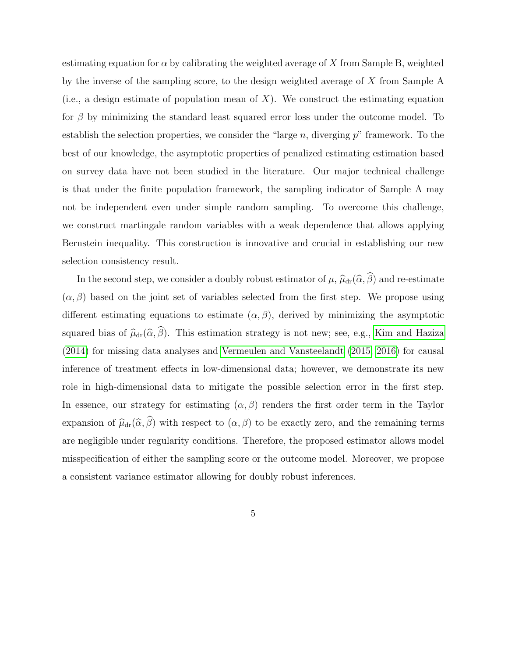estimating equation for  $\alpha$  by calibrating the weighted average of X from Sample B, weighted by the inverse of the sampling score, to the design weighted average of X from Sample A (i.e., a design estimate of population mean of  $X$ ). We construct the estimating equation for  $\beta$  by minimizing the standard least squared error loss under the outcome model. To establish the selection properties, we consider the "large n, diverging  $p$ " framework. To the best of our knowledge, the asymptotic properties of penalized estimating estimation based on survey data have not been studied in the literature. Our major technical challenge is that under the finite population framework, the sampling indicator of Sample A may not be independent even under simple random sampling. To overcome this challenge, we construct martingale random variables with a weak dependence that allows applying Bernstein inequality. This construction is innovative and crucial in establishing our new selection consistency result.

In the second step, we consider a doubly robust estimator of  $\mu$ ,  $\widehat{\mu}_{dr}(\widehat{\alpha}, \widehat{\beta})$  and re-estimate  $(\alpha, \beta)$  based on the joint set of variables selected from the first step. We propose using different estimating equations to estimate  $(\alpha, \beta)$ , derived by minimizing the asymptotic squared bias of  $\widehat{\mu}_{dr}(\widehat{\alpha}, \widehat{\beta})$ . This estimation strategy is not new; see, e.g., [Kim and Haziza](#page-38-5) [\(2014\)](#page-38-5) for missing data analyses and [Vermeulen and Vansteelandt](#page-40-1) [\(2015;](#page-40-1) [2016\)](#page-40-2) for causal inference of treatment effects in low-dimensional data; however, we demonstrate its new role in high-dimensional data to mitigate the possible selection error in the first step. In essence, our strategy for estimating  $(\alpha, \beta)$  renders the first order term in the Taylor expansion of  $\widehat{\mu}_{dr}(\widehat{\alpha}, \widehat{\beta})$  with respect to  $(\alpha, \beta)$  to be exactly zero, and the remaining terms are negligible under regularity conditions. Therefore, the proposed estimator allows model misspecification of either the sampling score or the outcome model. Moreover, we propose a consistent variance estimator allowing for doubly robust inferences.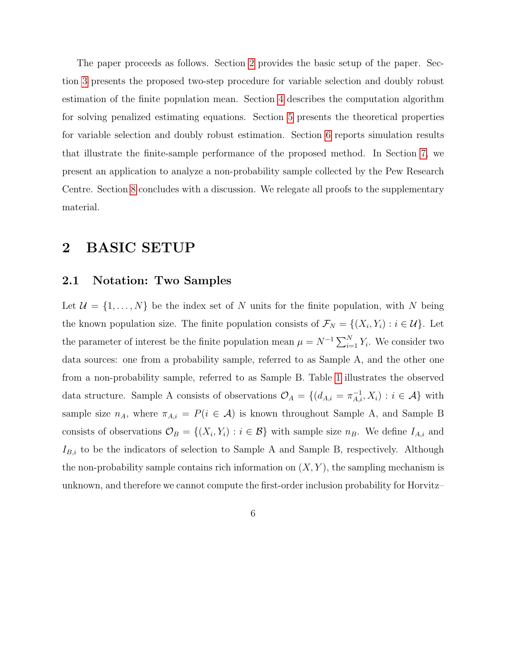The paper proceeds as follows. Section [2](#page-5-0) provides the basic setup of the paper. Section [3](#page-9-0) presents the proposed two-step procedure for variable selection and doubly robust estimation of the finite population mean. Section [4](#page-14-0) describes the computation algorithm for solving penalized estimating equations. Section [5](#page-16-0) presents the theoretical properties for variable selection and doubly robust estimation. Section [6](#page-23-0) reports simulation results that illustrate the finite-sample performance of the proposed method. In Section [7,](#page-27-0) we present an application to analyze a non-probability sample collected by the Pew Research Centre. Section [8](#page-35-0) concludes with a discussion. We relegate all proofs to the supplementary material.

### <span id="page-5-0"></span>2 BASIC SETUP

### 2.1 Notation: Two Samples

Let  $\mathcal{U} = \{1, \ldots, N\}$  be the index set of N units for the finite population, with N being the known population size. The finite population consists of  $\mathcal{F}_N = \{(X_i, Y_i) : i \in \mathcal{U}\}\.$  Let the parameter of interest be the finite population mean  $\mu = N^{-1} \sum_{i=1}^{N} Y_i$ . We consider two data sources: one from a probability sample, referred to as Sample A, and the other one from a non-probability sample, referred to as Sample B. Table [1](#page-6-0) illustrates the observed data structure. Sample A consists of observations  $\mathcal{O}_A = \{(d_{A,i} = \pi_{A,i}^{-1}, X_i) : i \in \mathcal{A}\}\$  with sample size  $n_A$ , where  $\pi_{A,i} = P(i \in \mathcal{A})$  is known throughout Sample A, and Sample B consists of observations  $\mathcal{O}_B = \{(X_i, Y_i) : i \in \mathcal{B}\}\$  with sample size  $n_B$ . We define  $I_{A,i}$  and  $I_{B,i}$  to be the indicators of selection to Sample A and Sample B, respectively. Although the non-probability sample contains rich information on  $(X, Y)$ , the sampling mechanism is unknown, and therefore we cannot compute the first-order inclusion probability for Horvitz–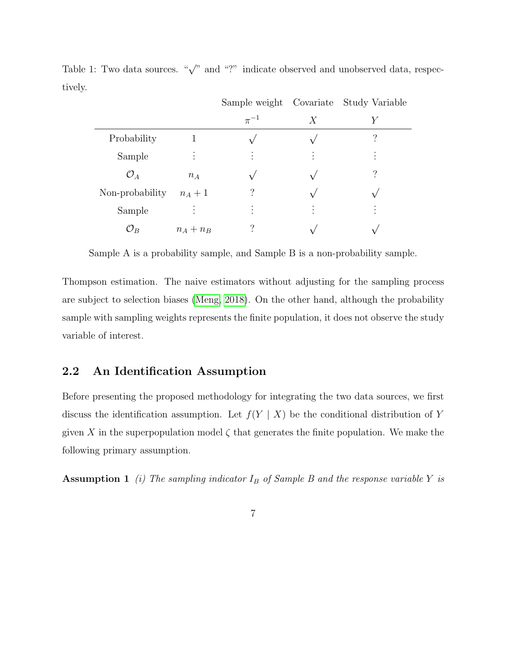|                 |           |                |   | Sample weight Covariate Study Variable |
|-----------------|-----------|----------------|---|----------------------------------------|
|                 |           | $\pi^{-1}$     | Х | Y                                      |
| Probability     |           |                |   | ?                                      |
| Sample          |           | $\bullet$      | ٠ | ٠                                      |
| $\mathcal{O}_A$ | $n_A$     |                |   |                                        |
| Non-probability | $n_A+1$   | 7              |   |                                        |
| Sample          | $\bullet$ | ٠<br>$\bullet$ | ٠ |                                        |
| ${\cal O}_B$    | $n_A+n_B$ | ?              |   |                                        |

<span id="page-6-0"></span>Table 1: Two data sources. " $\sqrt{ }$ " and "?" indicate observed and unobserved data, respectively.

Sample A is a probability sample, and Sample B is a non-probability sample.

Thompson estimation. The naive estimators without adjusting for the sampling process are subject to selection biases [\(Meng, 2018\)](#page-39-7). On the other hand, although the probability sample with sampling weights represents the finite population, it does not observe the study variable of interest.

### 2.2 An Identification Assumption

Before presenting the proposed methodology for integrating the two data sources, we first discuss the identification assumption. Let  $f(Y | X)$  be the conditional distribution of Y given X in the superpopulation model  $\zeta$  that generates the finite population. We make the following primary assumption.

<span id="page-6-1"></span>**Assumption 1** (i) The sampling indicator  $I_B$  of Sample B and the response variable Y is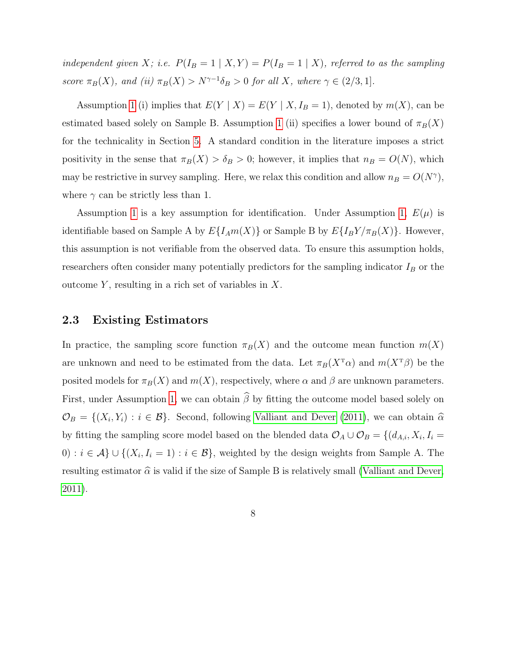independent given X; i.e.  $P(I_B = 1 | X, Y) = P(I_B = 1 | X)$ , referred to as the sampling score  $\pi_B(X)$ , and (ii)  $\pi_B(X) > N^{\gamma-1}\delta_B > 0$  for all X, where  $\gamma \in (2/3, 1]$ .

Assumption [1](#page-6-1) (i) implies that  $E(Y | X) = E(Y | X, I_B = 1)$ , denoted by  $m(X)$ , can be estimated based solely on Sample B. Assumption [1](#page-6-1) (ii) specifies a lower bound of  $\pi_B(X)$ for the technicality in Section [5.](#page-16-0) A standard condition in the literature imposes a strict positivity in the sense that  $\pi_B(X) > \delta_B > 0$ ; however, it implies that  $n_B = O(N)$ , which may be restrictive in survey sampling. Here, we relax this condition and allow  $n_B = O(N^{\gamma})$ , where  $\gamma$  can be strictly less than 1.

Assumption [1](#page-6-1) is a key assumption for identification. Under Assumption [1,](#page-6-1)  $E(\mu)$  is identifiable based on Sample A by  $E\{I_A m(X)\}$  or Sample B by  $E\{I_B Y/\pi_B(X)\}$ . However, this assumption is not verifiable from the observed data. To ensure this assumption holds, researchers often consider many potentially predictors for the sampling indicator  $I_B$  or the outcome  $Y$ , resulting in a rich set of variables in  $X$ .

### 2.3 Existing Estimators

In practice, the sampling score function  $\pi_B(X)$  and the outcome mean function  $m(X)$ are unknown and need to be estimated from the data. Let  $\pi_B(X^{\mathsf{T}}\alpha)$  and  $m(X^{\mathsf{T}}\beta)$  be the posited models for  $\pi_B(X)$  and  $m(X)$ , respectively, where  $\alpha$  and  $\beta$  are unknown parameters. First, under Assumption [1,](#page-6-1) we can obtain  $\widehat{\beta}$  by fitting the outcome model based solely on  $\mathcal{O}_B = \{(X_i, Y_i) : i \in \mathcal{B}\}\.$  Second, following [Valliant and Dever](#page-39-1) [\(2011\)](#page-39-1), we can obtain  $\widehat{\alpha}$ by fitting the sampling score model based on the blended data  $\mathcal{O}_A \cup \mathcal{O}_B = \{(d_{A,i}, X_i, I_i =$ 0) :  $i \in \mathcal{A}$  ∪ {( $X_i, I_i = 1$ ) :  $i \in \mathcal{B}$ }, weighted by the design weights from Sample A. The resulting estimator  $\hat{\alpha}$  is valid if the size of Sample B is relatively small [\(Valliant and Dever,](#page-39-1) [2011\)](#page-39-1).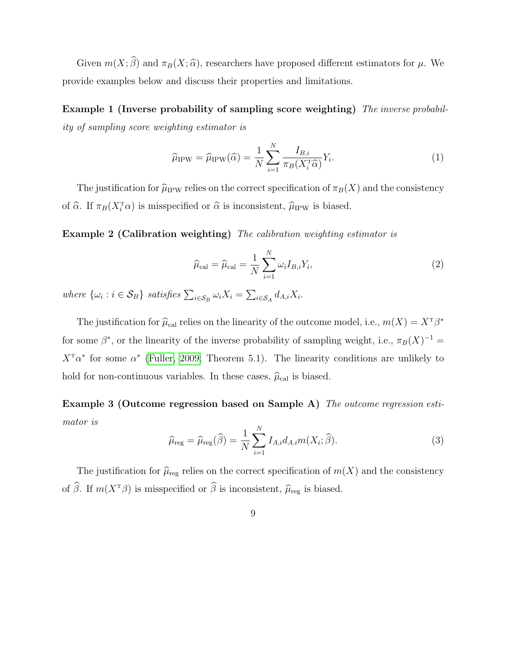Given  $m(X; \hat{\beta})$  and  $\pi_B(X; \hat{\alpha})$ , researchers have proposed different estimators for  $\mu$ . We provide examples below and discuss their properties and limitations.

Example 1 (Inverse probability of sampling score weighting) The inverse probability of sampling score weighting estimator is

<span id="page-8-2"></span>
$$
\widehat{\mu}_{IPW} = \widehat{\mu}_{IPW}(\widehat{\alpha}) = \frac{1}{N} \sum_{i=1}^{N} \frac{I_{B,i}}{\pi_B(X_i^{\mathrm{T}} \widehat{\alpha})} Y_i.
$$
\n(1)

The justification for  $\hat{\mu}_{IPW}$  relies on the correct specification of  $\pi_B(X)$  and the consistency of  $\widehat{\alpha}$ . If  $\pi_B(X_i^T \alpha)$  is misspecified or  $\widehat{\alpha}$  is inconsistent,  $\widehat{\mu}_{IPW}$  is biased.

Example 2 (Calibration weighting) The calibration weighting estimator is

<span id="page-8-1"></span>
$$
\widehat{\mu}_{\text{cal}} = \widehat{\mu}_{\text{cal}} = \frac{1}{N} \sum_{i=1}^{N} \omega_i I_{B,i} Y_i,
$$
\n(2)

where  $\{\omega_i : i \in \mathcal{S}_B\}$  satisfies  $\sum_{i \in \mathcal{S}_B} \omega_i X_i = \sum_{i \in \mathcal{S}_A} d_{A,i} X_i$ .

The justification for  $\hat{\mu}_{cal}$  relies on the linearity of the outcome model, i.e.,  $m(X) = X^T \beta^*$ for some  $\beta^*$ , or the linearity of the inverse probability of sampling weight, i.e.,  $\pi_B(X)^{-1} =$  $X^{\mathrm{T}}\alpha^*$  for some  $\alpha^*$  [\(Fuller, 2009;](#page-37-6) Theorem 5.1). The linearity conditions are unlikely to hold for non-continuous variables. In these cases,  $\hat{\mu}_{\text{cal}}$  is biased.

Example 3 (Outcome regression based on Sample A) The outcome regression estimator is

<span id="page-8-0"></span>
$$
\widehat{\mu}_{\text{reg}} = \widehat{\mu}_{\text{reg}}(\widehat{\beta}) = \frac{1}{N} \sum_{i=1}^{N} I_{A,i} d_{A,i} m(X_i; \widehat{\beta}). \tag{3}
$$

The justification for  $\hat{\mu}_{reg}$  relies on the correct specification of  $m(X)$  and the consistency of  $\widehat{\beta}$ . If  $m(X^T\beta)$  is misspecified or  $\widehat{\beta}$  is inconsistent,  $\widehat{\mu}_\text{reg}$  is biased.

9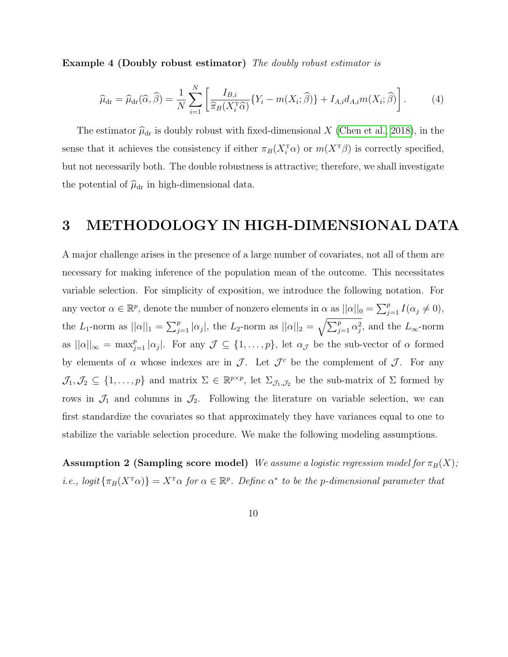Example 4 (Doubly robust estimator) The doubly robust estimator is

<span id="page-9-2"></span>
$$
\widehat{\mu}_{\rm dr} = \widehat{\mu}_{\rm dr}(\widehat{\alpha}, \widehat{\beta}) = \frac{1}{N} \sum_{i=1}^{N} \left[ \frac{I_{B,i}}{\widehat{\pi}_B(X_i^{\rm T}\widehat{\alpha})} \{Y_i - m(X_i; \widehat{\beta})\} + I_{A,i} d_{A,i} m(X_i; \widehat{\beta}) \right]. \tag{4}
$$

The estimator  $\hat{\mu}_{dr}$  is doubly robust with fixed-dimensional X [\(Chen et al., 2018\)](#page-36-0), in the sense that it achieves the consistency if either  $\pi_B(X_i^{\text{T}}\alpha)$  or  $m(X^{\text{T}}\beta)$  is correctly specified, but not necessarily both. The double robustness is attractive; therefore, we shall investigate the potential of  $\hat{\mu}_{dr}$  in high-dimensional data.

### <span id="page-9-0"></span>3 METHODOLOGY IN HIGH-DIMENSIONAL DATA

A major challenge arises in the presence of a large number of covariates, not all of them are necessary for making inference of the population mean of the outcome. This necessitates variable selection. For simplicity of exposition, we introduce the following notation. For any vector  $\alpha \in \mathbb{R}^p$ , denote the number of nonzero elements in  $\alpha$  as  $||\alpha||_0 = \sum_{j=1}^p I(\alpha_j \neq 0)$ , the L<sub>1</sub>-norm as  $||\alpha||_1 = \sum_{j=1}^p |\alpha_j|$ , the L<sub>2</sub>-norm as  $||\alpha||_2 = \sqrt{\sum_{j=1}^p \alpha_j^2}$ , and the L<sub>∞</sub>-norm as  $||\alpha||_{\infty} = \max_{j=1}^{p} |\alpha_j|$ . For any  $\mathcal{J} \subseteq \{1,\ldots,p\}$ , let  $\alpha_{\mathcal{J}}$  be the sub-vector of  $\alpha$  formed by elements of  $\alpha$  whose indexes are in  $\mathcal{J}$ . Let  $\mathcal{J}^c$  be the complement of  $\mathcal{J}$ . For any  $\mathcal{J}_1, \mathcal{J}_2 \subseteq \{1,\ldots,p\}$  and matrix  $\Sigma \in \mathbb{R}^{p \times p}$ , let  $\Sigma_{\mathcal{J}_1,\mathcal{J}_2}$  be the sub-matrix of  $\Sigma$  formed by rows in  $\mathcal{J}_1$  and columns in  $\mathcal{J}_2$ . Following the literature on variable selection, we can first standardize the covariates so that approximately they have variances equal to one to stabilize the variable selection procedure. We make the following modeling assumptions.

<span id="page-9-1"></span>**Assumption 2 (Sampling score model)** We assume a logistic regression model for  $\pi_B(X)$ ; *i.e.*,  $logit \{\pi_B(X^{\mathsf{T}}\alpha)\} = X^{\mathsf{T}}\alpha$  for  $\alpha \in \mathbb{R}^p$ . Define  $\alpha^*$  to be the p-dimensional parameter that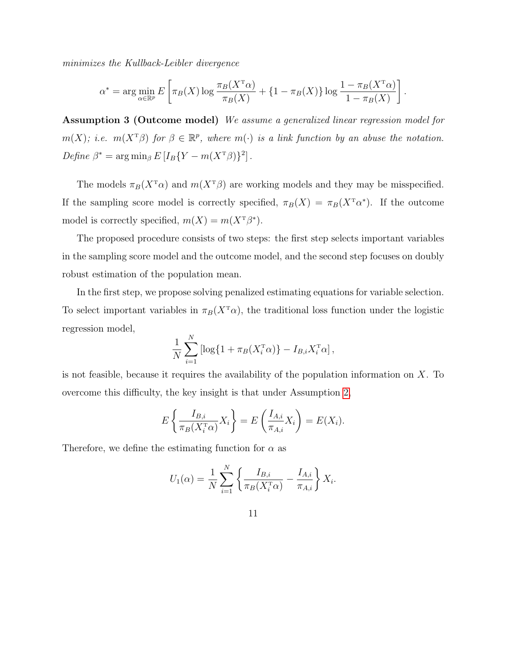minimizes the Kullback-Leibler divergence

$$
\alpha^* = \arg\min_{\alpha \in \mathbb{R}^p} E\left[\pi_B(X) \log \frac{\pi_B(X^{\mathrm{T}}\alpha)}{\pi_B(X)} + \{1 - \pi_B(X)\} \log \frac{1 - \pi_B(X^{\mathrm{T}}\alpha)}{1 - \pi_B(X)}\right].
$$

Assumption 3 (Outcome model) We assume a generalized linear regression model for  $m(X)$ ; i.e.  $m(X^T\beta)$  for  $\beta \in \mathbb{R}^p$ , where  $m(\cdot)$  is a link function by an abuse the notation. Define  $\beta^* = \arg \min_{\beta} E[I_B \{ Y - m(X^{\text{T}}\beta)\}^2].$ 

The models  $\pi_B(X^T\alpha)$  and  $m(X^T\beta)$  are working models and they may be misspecified. If the sampling score model is correctly specified,  $\pi_B(X) = \pi_B(X^T \alpha^*)$ . If the outcome model is correctly specified,  $m(X) = m(X^T\beta^*)$ .

The proposed procedure consists of two steps: the first step selects important variables in the sampling score model and the outcome model, and the second step focuses on doubly robust estimation of the population mean.

In the first step, we propose solving penalized estimating equations for variable selection. To select important variables in  $\pi_B(X^{\mathsf{T}}\alpha)$ , the traditional loss function under the logistic regression model,

$$
\frac{1}{N} \sum_{i=1}^{N} \left[ \log \{ 1 + \pi_B(X_i^{\mathrm{T}} \alpha) \} - I_{B,i} X_i^{\mathrm{T}} \alpha \right],
$$

is not feasible, because it requires the availability of the population information on  $X$ . To overcome this difficulty, the key insight is that under Assumption [2,](#page-9-1)

$$
E\left\{\frac{I_{B,i}}{\pi_B(X_i^{\mathrm{T}}\alpha)}X_i\right\} = E\left(\frac{I_{A,i}}{\pi_{A,i}}X_i\right) = E(X_i).
$$

Therefore, we define the estimating function for  $\alpha$  as

$$
U_1(\alpha) = \frac{1}{N} \sum_{i=1}^{N} \left\{ \frac{I_{B,i}}{\pi_B(X_i^{\mathrm{T}} \alpha)} - \frac{I_{A,i}}{\pi_{A,i}} \right\} X_i.
$$

11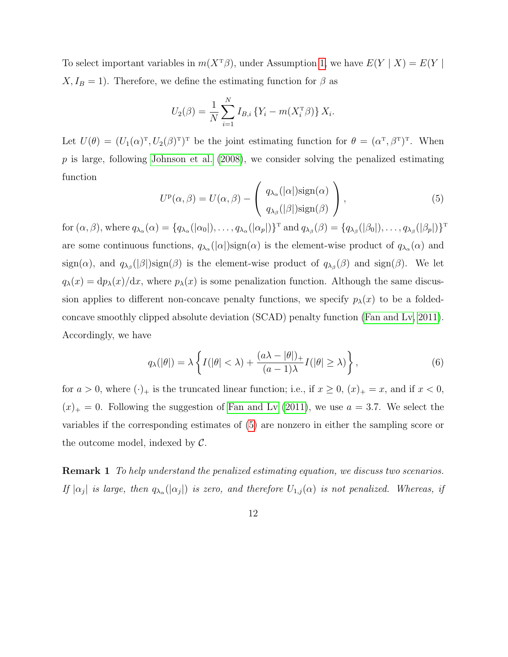To select important variables in  $m(X^T\beta)$ , under Assumption [1,](#page-6-1) we have  $E(Y | X) = E(Y | X)$  $X, I_B = 1$ ). Therefore, we define the estimating function for  $\beta$  as

$$
U_2(\beta) = \frac{1}{N} \sum_{i=1}^{N} I_{B,i} \{ Y_i - m(X_i^{\mathrm{T}} \beta) \} X_i.
$$

Let  $U(\theta) = (U_1(\alpha)^T, U_2(\beta)^T)^T$  be the joint estimating function for  $\theta = (\alpha^T, \beta^T)^T$ . When  $p$  is large, following [Johnson et al.](#page-38-6) [\(2008\)](#page-38-6), we consider solving the penalized estimating function

<span id="page-11-0"></span>
$$
U^{p}(\alpha, \beta) = U(\alpha, \beta) - \begin{pmatrix} q_{\lambda_{\alpha}}(|\alpha|) \operatorname{sign}(\alpha) \\ q_{\lambda_{\beta}}(|\beta|) \operatorname{sign}(\beta) \end{pmatrix},
$$
(5)

for  $(\alpha, \beta)$ , where  $q_{\lambda_{\alpha}}(\alpha) = \{q_{\lambda_{\alpha}}(|\alpha_0|), \ldots, q_{\lambda_{\alpha}}(|\alpha_p|)\}^{\mathrm{T}}$  and  $q_{\lambda_{\beta}}(\beta) = \{q_{\lambda_{\beta}}(|\beta_0|), \ldots, q_{\lambda_{\beta}}(|\beta_p|)\}^{\mathrm{T}}$ are some continuous functions,  $q_{\lambda_\alpha}(|\alpha|)$ sign $(\alpha)$  is the element-wise product of  $q_{\lambda_\alpha}(\alpha)$  and  $sign(\alpha)$ , and  $q_{\lambda_{\beta}}(|\beta|)sign(\beta)$  is the element-wise product of  $q_{\lambda_{\beta}}(\beta)$  and  $sign(\beta)$ . We let  $q_{\lambda}(x) = dp_{\lambda}(x)/dx$ , where  $p_{\lambda}(x)$  is some penalization function. Although the same discussion applies to different non-concave penalty functions, we specify  $p_{\lambda}(x)$  to be a foldedconcave smoothly clipped absolute deviation (SCAD) penalty function [\(Fan and Lv, 2011\)](#page-37-7). Accordingly, we have

<span id="page-11-1"></span>
$$
q_{\lambda}(|\theta|) = \lambda \left\{ I(|\theta| < \lambda) + \frac{(a\lambda - |\theta|)_{+}}{(a-1)\lambda} I(|\theta| \ge \lambda) \right\},\tag{6}
$$

for  $a > 0$ , where  $(\cdot)_+$  is the truncated linear function; i.e., if  $x \ge 0$ ,  $(x)_+ = x$ , and if  $x < 0$ ,  $(x)_+ = 0$ . Following the suggestion of [Fan and Lv](#page-37-7) [\(2011\)](#page-37-7), we use  $a = 3.7$ . We select the variables if the corresponding estimates of [\(5\)](#page-11-0) are nonzero in either the sampling score or the outcome model, indexed by  $\mathcal{C}$ .

**Remark 1** To help understand the penalized estimating equation, we discuss two scenarios. If  $|\alpha_j|$  is large, then  $q_{\lambda_\alpha}(|\alpha_j|)$  is zero, and therefore  $U_{1,j}(\alpha)$  is not penalized. Whereas, if

12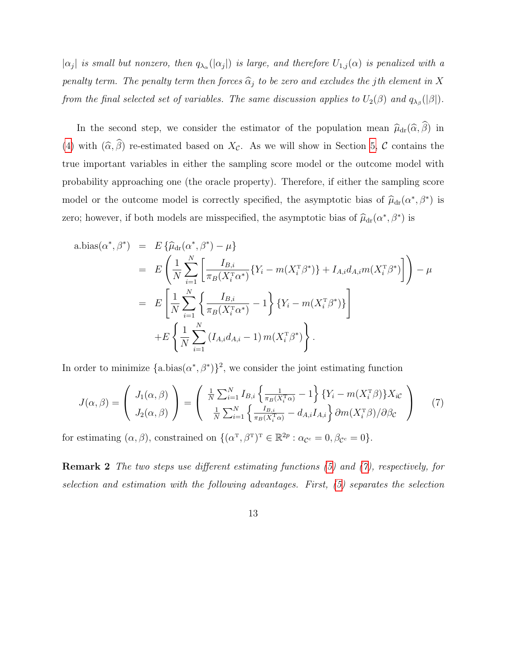$|\alpha_j|$  is small but nonzero, then  $q_{\lambda_\alpha}(|\alpha_j|)$  is large, and therefore  $U_{1,j}(\alpha)$  is penalized with a penalty term. The penalty term then forces  $\widehat{\alpha}_j$  to be zero and excludes the jth element in X from the final selected set of variables. The same discussion applies to  $U_2(\beta)$  and  $q_{\lambda_\beta}(|\beta|)$ .

In the second step, we consider the estimator of the population mean  $\hat{\mu}_{dr}(\hat{\alpha}, \hat{\beta})$  in [\(4\)](#page-9-2) with  $(\widehat{\alpha}, \widehat{\beta})$  re-estimated based on  $X_c$ . As we will show in Section [5,](#page-16-0) C contains the true important variables in either the sampling score model or the outcome model with probability approaching one (the oracle property). Therefore, if either the sampling score model or the outcome model is correctly specified, the asymptotic bias of  $\hat{\mu}_{dr}(\alpha^*, \beta^*)$  is zero; however, if both models are misspecified, the asymptotic bias of  $\hat{\mu}_{dr}(\alpha^*, \beta^*)$  is

a.bias(
$$
\alpha^*, \beta^*
$$
) =  $E \{\hat{\mu}_{dr}(\alpha^*, \beta^*) - \mu\}$   
\n=  $E \left( \frac{1}{N} \sum_{i=1}^N \left[ \frac{I_{B,i}}{\pi_B(X_i^T \alpha^*)} \{Y_i - m(X_i^T \beta^*)\} + I_{A,i} d_{A,i} m(X_i^T \beta^*) \right] \right) - \mu$   
\n=  $E \left[ \frac{1}{N} \sum_{i=1}^N \left\{ \frac{I_{B,i}}{\pi_B(X_i^T \alpha^*)} - 1 \right\} \{Y_i - m(X_i^T \beta^*)\} \right]$   
\n+  $E \left\{ \frac{1}{N} \sum_{i=1}^N (I_{A,i} d_{A,i} - 1) m(X_i^T \beta^*) \right\}.$ 

In order to minimize  $\{a \cdot \text{bias}(\alpha^*, \beta^*)\}^2$ , we consider the joint estimating function

<span id="page-12-0"></span>
$$
J(\alpha, \beta) = \begin{pmatrix} J_1(\alpha, \beta) \\ J_2(\alpha, \beta) \end{pmatrix} = \begin{pmatrix} \frac{1}{N} \sum_{i=1}^N I_{B,i} \left\{ \frac{1}{\pi_B(X_i^T \alpha)} - 1 \right\} \{Y_i - m(X_i^T \beta)\} X_{i\mathcal{C}} \\ \frac{1}{N} \sum_{i=1}^N \left\{ \frac{I_{B,i}}{\pi_B(X_i^T \alpha)} - d_{A,i} I_{A,i} \right\} \partial m(X_i^T \beta) / \partial \beta_{\mathcal{C}} \end{pmatrix} \tag{7}
$$

for estimating  $(\alpha, \beta)$ , constrained on  $\{(\alpha^{\mathrm{T}}, \beta^{\mathrm{T}})^{\mathrm{T}} \in \mathbb{R}^{2p} : \alpha_{\mathcal{C}^c} = 0, \beta_{\mathcal{C}^c} = 0\}.$ 

Remark 2 The two steps use different estimating functions [\(5\)](#page-11-0) and [\(7\)](#page-12-0), respectively, for selection and estimation with the following advantages. First, [\(5\)](#page-11-0) separates the selection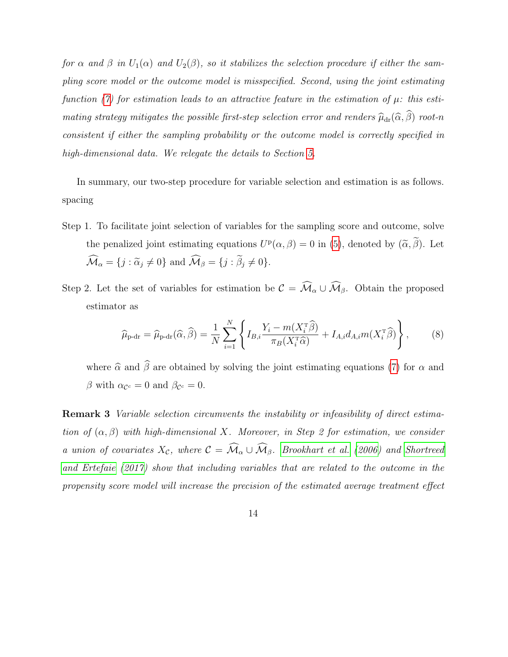for  $\alpha$  and  $\beta$  in  $U_1(\alpha)$  and  $U_2(\beta)$ , so it stabilizes the selection procedure if either the sampling score model or the outcome model is misspecified. Second, using the joint estimating function [\(7\)](#page-12-0) for estimation leads to an attractive feature in the estimation of  $\mu$ : this estimating strategy mitigates the possible first-step selection error and renders  $\widehat{\mu}_{dr}(\widehat{\alpha}, \widehat{\beta})$  root-n consistent if either the sampling probability or the outcome model is correctly specified in high-dimensional data. We relegate the details to Section [5.](#page-16-0)

In summary, our two-step procedure for variable selection and estimation is as follows. spacing

- Step 1. To facilitate joint selection of variables for the sampling score and outcome, solve the penalized joint estimating equations  $U^{\mathbf{p}}(\alpha, \beta) = 0$  in [\(5\)](#page-11-0), denoted by  $(\tilde{\alpha}, \tilde{\beta})$ . Let  $\widehat{\mathcal{M}}_{\alpha} = \{j : \widetilde{\alpha}_j \neq 0\}$  and  $\widehat{\mathcal{M}}_{\beta} = \{j : \widetilde{\beta}_j \neq 0\}.$
- Step 2. Let the set of variables for estimation be  $\mathcal{C} = \widehat{\mathcal{M}}_{\alpha} \cup \widehat{\mathcal{M}}_{\beta}$ . Obtain the proposed estimator as

<span id="page-13-0"></span>
$$
\widehat{\mu}_{\text{p-dr}} = \widehat{\mu}_{\text{p-dr}}(\widehat{\alpha}, \widehat{\beta}) = \frac{1}{N} \sum_{i=1}^{N} \left\{ I_{B,i} \frac{Y_i - m(X_i^{\text{T}} \widehat{\beta})}{\pi_B(X_i^{\text{T}} \widehat{\alpha})} + I_{A,i} d_{A,i} m(X_i^{\text{T}} \widehat{\beta}) \right\},\tag{8}
$$

where  $\hat{\alpha}$  and  $\hat{\beta}$  are obtained by solving the joint estimating equations [\(7\)](#page-12-0) for  $\alpha$  and  $\beta$  with  $\alpha_{\mathcal{C}^c} = 0$  and  $\beta_{\mathcal{C}^c} = 0$ .

Remark 3 Variable selection circumvents the instability or infeasibility of direct estimation of  $(\alpha, \beta)$  with high-dimensional X. Moreover, in Step 2 for estimation, we consider a union of covariates  $X_c$ , where  $C = \widehat{\mathcal{M}}_\alpha \cup \widehat{\mathcal{M}}_\beta$ . [Brookhart et al.](#page-36-6) [\(2006\)](#page-36-6) and [Shortreed](#page-39-8) [and Ertefaie](#page-39-8) [\(2017\)](#page-39-8) show that including variables that are related to the outcome in the propensity score model will increase the precision of the estimated average treatment effect

14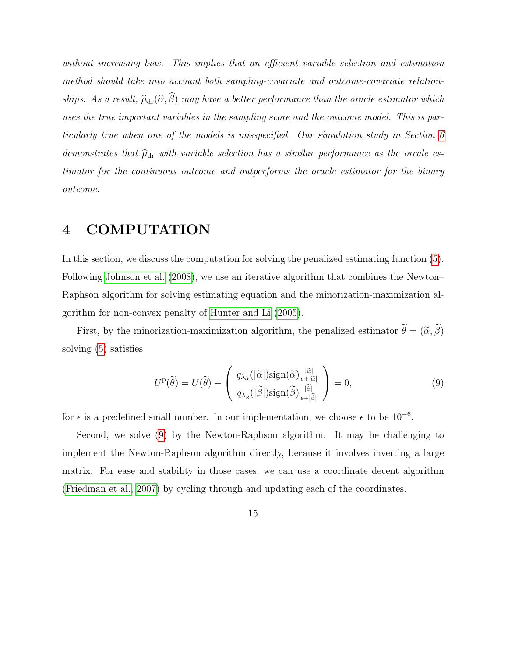without increasing bias. This implies that an efficient variable selection and estimation method should take into account both sampling-covariate and outcome-covariate relationships. As a result,  $\widehat{\mu}_{dr}(\widehat{\alpha}, \widehat{\beta})$  may have a better performance than the oracle estimator which uses the true important variables in the sampling score and the outcome model. This is particularly true when one of the models is misspecified. Our simulation study in Section [6](#page-23-0) demonstrates that  $\widehat{\mu}_{dr}$  with variable selection has a similar performance as the orcale estimator for the continuous outcome and outperforms the oracle estimator for the binary outcome.

# <span id="page-14-0"></span>4 COMPUTATION

In this section, we discuss the computation for solving the penalized estimating function [\(5\)](#page-11-0). Following [Johnson et al.](#page-38-6) [\(2008\)](#page-38-6), we use an iterative algorithm that combines the Newton– Raphson algorithm for solving estimating equation and the minorization-maximization algorithm for non-convex penalty of [Hunter and Li](#page-38-7) [\(2005\)](#page-38-7).

First, by the minorization-maximization algorithm, the penalized estimator  $\tilde{\theta} = (\tilde{\alpha}, \tilde{\beta})$ solving [\(5\)](#page-11-0) satisfies

<span id="page-14-1"></span>
$$
U^{\mathbf{p}}(\widetilde{\theta}) = U(\widetilde{\theta}) - \begin{pmatrix} q_{\lambda_{\widetilde{\alpha}}}(|\widetilde{\alpha}|) \operatorname{sign}(\widetilde{\alpha}) \frac{|\widetilde{\alpha}|}{\epsilon + |\widetilde{\alpha}|} \\ q_{\lambda_{\widetilde{\beta}}}(|\widetilde{\beta}|) \operatorname{sign}(\widetilde{\beta}) \frac{|\widetilde{\beta}|}{\epsilon + |\widetilde{\beta}|} \end{pmatrix} = 0, \tag{9}
$$

for  $\epsilon$  is a predefined small number. In our implementation, we choose  $\epsilon$  to be 10<sup>-6</sup>.

Second, we solve [\(9\)](#page-14-1) by the Newton-Raphson algorithm. It may be challenging to implement the Newton-Raphson algorithm directly, because it involves inverting a large matrix. For ease and stability in those cases, we can use a coordinate decent algorithm [\(Friedman et al., 2007\)](#page-37-8) by cycling through and updating each of the coordinates.

15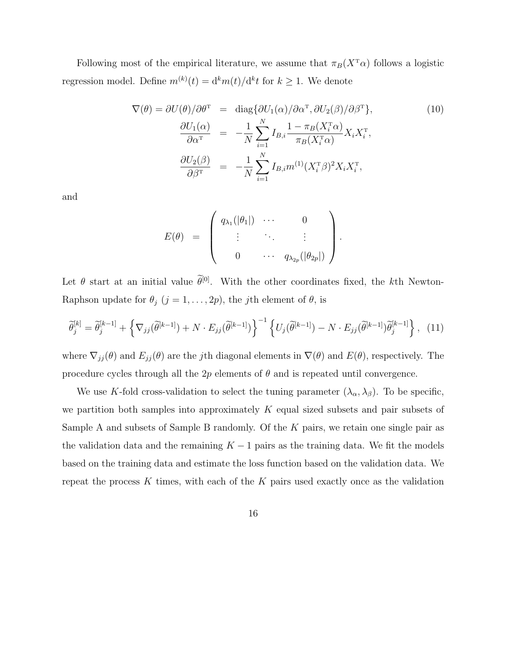Following most of the empirical literature, we assume that  $\pi_B(X^T\alpha)$  follows a logistic regression model. Define  $m^{(k)}(t) = d^k m(t)/d^k t$  for  $k \geq 1$ . We denote

<span id="page-15-0"></span>
$$
\nabla(\theta) = \partial U(\theta) / \partial \theta^{\mathrm{T}} = \text{diag}\{\partial U_1(\alpha) / \partial \alpha^{\mathrm{T}}, \partial U_2(\beta) / \partial \beta^{\mathrm{T}}\},\tag{10}
$$

$$
\frac{\partial U_1(\alpha)}{\partial \alpha^{\mathrm{T}}} = -\frac{1}{N} \sum_{i=1}^N I_{B,i} \frac{1 - \pi_B(X_i^{\mathrm{T}} \alpha)}{\pi_B(X_i^{\mathrm{T}} \alpha)} X_i X_i^{\mathrm{T}},
$$

$$
\frac{\partial U_2(\beta)}{\partial \beta^{\mathrm{T}}} = -\frac{1}{N} \sum_{i=1}^N I_{B,i} m^{(1)} (X_i^{\mathrm{T}} \beta)^2 X_i X_i^{\mathrm{T}},
$$

and

$$
E(\theta) = \left( \begin{array}{cccc} q_{\lambda_1}(|\theta_1|) & \cdots & 0 \\ \vdots & \ddots & \vdots \\ 0 & \cdots & q_{\lambda_{2p}}(|\theta_{2p}|) \end{array} \right).
$$

Let  $\theta$  start at an initial value  $\tilde{\theta}^{[0]}$ . With the other coordinates fixed, the kth Newton-Raphson update for  $\theta_j$   $(j = 1, ..., 2p)$ , the *j*th element of  $\theta$ , is

$$
\widetilde{\theta}_{j}^{[k]} = \widetilde{\theta}_{j}^{[k-1]} + \left\{ \nabla_{jj} (\widetilde{\theta}^{[k-1]}) + N \cdot E_{jj} (\widetilde{\theta}^{[k-1]}) \right\}^{-1} \left\{ U_{j} (\widetilde{\theta}^{[k-1]}) - N \cdot E_{jj} (\widetilde{\theta}^{[k-1]}) \widetilde{\theta}_{j}^{[k-1]} \right\}, \tag{11}
$$

where  $\nabla_{jj}(\theta)$  and  $E_{jj}(\theta)$  are the jth diagonal elements in  $\nabla(\theta)$  and  $E(\theta)$ , respectively. The procedure cycles through all the  $2p$  elements of  $\theta$  and is repeated until convergence.

We use K-fold cross-validation to select the tuning parameter  $(\lambda_{\alpha}, \lambda_{\beta})$ . To be specific, we partition both samples into approximately  $K$  equal sized subsets and pair subsets of Sample A and subsets of Sample B randomly. Of the K pairs, we retain one single pair as the validation data and the remaining  $K - 1$  pairs as the training data. We fit the models based on the training data and estimate the loss function based on the validation data. We repeat the process K times, with each of the K pairs used exactly once as the validation

16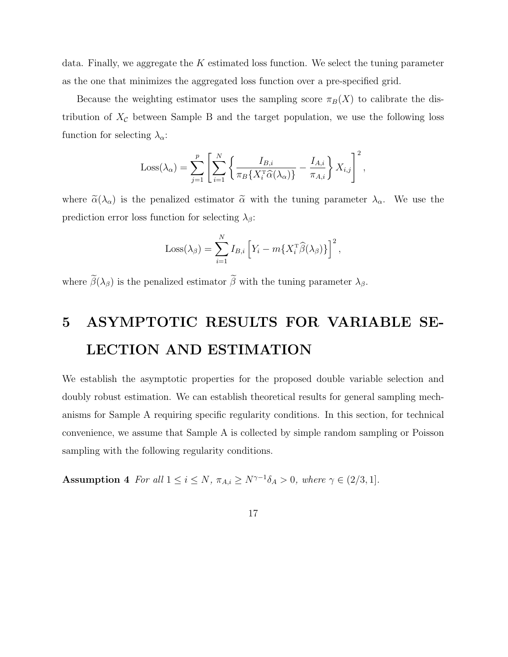data. Finally, we aggregate the K estimated loss function. We select the tuning parameter as the one that minimizes the aggregated loss function over a pre-specified grid.

Because the weighting estimator uses the sampling score  $\pi_B(X)$  to calibrate the distribution of  $X_{\mathcal{C}}$  between Sample B and the target population, we use the following loss function for selecting  $\lambda_{\alpha}$ :

$$
Loss(\lambda_{\alpha}) = \sum_{j=1}^{p} \left[ \sum_{i=1}^{N} \left\{ \frac{I_{B,i}}{\pi_B \{ X_i^{\text{T}} \widehat{\alpha}(\lambda_{\alpha}) \} } - \frac{I_{A,i}}{\pi_{A,i}} \right\} X_{i,j} \right]^2,
$$

where  $\tilde{\alpha}(\lambda_{\alpha})$  is the penalized estimator  $\tilde{\alpha}$  with the tuning parameter  $\lambda_{\alpha}$ . We use the prediction error loss function for selecting  $\lambda_{\beta}$ :

$$
Loss(\lambda_{\beta}) = \sum_{i=1}^{N} I_{B,i} \left[ Y_i - m\{X_i^{\mathrm{T}}\widehat{\beta}(\lambda_{\beta})\} \right]^2,
$$

where  $\tilde{\beta}(\lambda_{\beta})$  is the penalized estimator  $\tilde{\beta}$  with the tuning parameter  $\lambda_{\beta}$ .

# <span id="page-16-0"></span>5 ASYMPTOTIC RESULTS FOR VARIABLE SE-LECTION AND ESTIMATION

We establish the asymptotic properties for the proposed double variable selection and doubly robust estimation. We can establish theoretical results for general sampling mechanisms for Sample A requiring specific regularity conditions. In this section, for technical convenience, we assume that Sample A is collected by simple random sampling or Poisson sampling with the following regularity conditions.

<span id="page-16-1"></span>**Assumption 4** For all  $1 \leq i \leq N$ ,  $\pi_{A,i} \geq N^{\gamma-1} \delta_A > 0$ , where  $\gamma \in (2/3, 1]$ .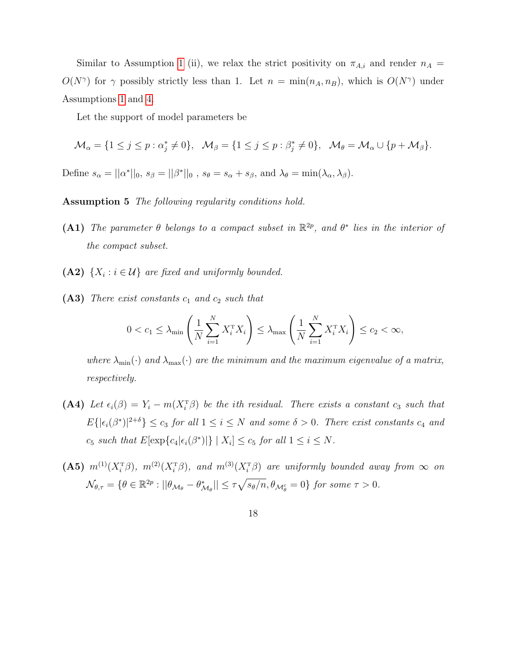Similar to Assumption [1](#page-6-1) (ii), we relax the strict positivity on  $\pi_{A,i}$  and render  $n_A =$  $O(N^{\gamma})$  for  $\gamma$  possibly strictly less than 1. Let  $n = \min(n_A, n_B)$ , which is  $O(N^{\gamma})$  under Assumptions [1](#page-6-1) and [4.](#page-16-1)

Let the support of model parameters be

$$
\mathcal{M}_{\alpha} = \{1 \leq j \leq p : \alpha_j^* \neq 0\}, \quad \mathcal{M}_{\beta} = \{1 \leq j \leq p : \beta_j^* \neq 0\}, \quad \mathcal{M}_{\theta} = \mathcal{M}_{\alpha} \cup \{p + \mathcal{M}_{\beta}\}.
$$

<span id="page-17-0"></span>Define  $s_{\alpha} = ||\alpha^*||_0$ ,  $s_{\beta} = ||\beta^*||_0$ ,  $s_{\theta} = s_{\alpha} + s_{\beta}$ , and  $\lambda_{\theta} = \min(\lambda_{\alpha}, \lambda_{\beta})$ .

Assumption 5 The following regularity conditions hold.

- (A1) The parameter  $\theta$  belongs to a compact subset in  $\mathbb{R}^{2p}$ , and  $\theta^*$  lies in the interior of the compact subset.
- (A2)  $\{X_i : i \in \mathcal{U}\}\$ are fixed and uniformly bounded.
- $(A3)$  There exist constants  $c_1$  and  $c_2$  such that

$$
0 < c_1 \le \lambda_{\min} \left( \frac{1}{N} \sum_{i=1}^N X_i^{\mathrm{T}} X_i \right) \le \lambda_{\max} \left( \frac{1}{N} \sum_{i=1}^N X_i^{\mathrm{T}} X_i \right) \le c_2 < \infty,
$$

where  $\lambda_{\min}(\cdot)$  and  $\lambda_{\max}(\cdot)$  are the minimum and the maximum eigenvalue of a matrix, respectively.

- (A4) Let  $\epsilon_i(\beta) = Y_i m(X_i^T\beta)$  be the ith residual. There exists a constant  $c_3$  such that  $E\{|\epsilon_i(\beta^*)|^{2+\delta}\}\leq c_3$  for all  $1\leq i\leq N$  and some  $\delta>0$ . There exist constants  $c_4$  and  $c_5$  such that  $E[\exp\{c_4|\epsilon_i(\beta^*)|\} | X_i] \leq c_5$  for all  $1 \leq i \leq N$ .
- (A5)  $m^{(1)}(X_i^{\mathrm{T}}\beta)$ ,  $m^{(2)}(X_i^{\mathrm{T}}\beta)$ , and  $m^{(3)}(X_i^{\mathrm{T}}\beta)$  are uniformly bounded away from  $\infty$  on  $\mathcal{N}_{\theta,\tau} = \{ \theta \in \mathbb{R}^{2p} : ||\theta_{\mathcal{M}_{\theta}} - \theta_{\mathcal{M}_{\theta}}^*|| \leq \tau \sqrt{s_{\theta}/n}, \theta_{\mathcal{M}_{\theta}^c} = 0 \}$  for some  $\tau > 0$ .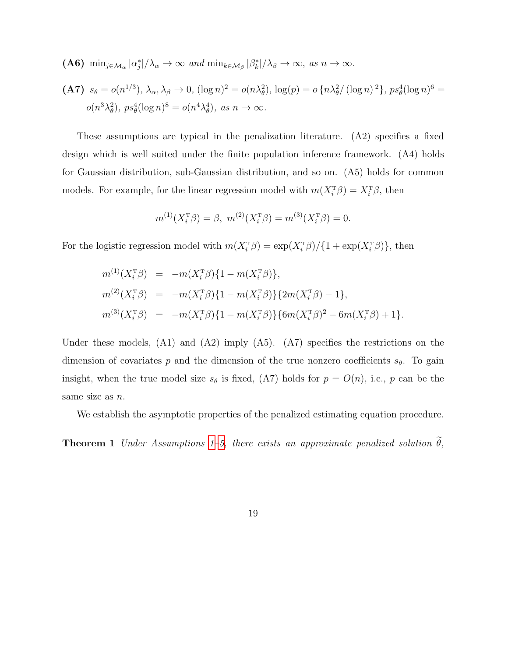**(A6)** 
$$
\min_{j \in \mathcal{M}_{\alpha}} |\alpha_j^*| / \lambda_{\alpha} \to \infty \text{ and } \min_{k \in \mathcal{M}_{\beta}} |\beta_k^*| / \lambda_{\beta} \to \infty, \text{ as } n \to \infty.
$$

(A7) 
$$
s_{\theta} = o(n^{1/3}), \lambda_{\alpha}, \lambda_{\beta} \to 0
$$
,  $(\log n)^2 = o(n\lambda_{\theta}^2), \log(p) = o\left\{n\lambda_{\theta}^2/\left(\log n\right)^2\right\}, ps_{\theta}^4(\log n)^6 = o(n^3\lambda_{\theta}^2), ps_{\theta}^4(\log n)^8 = o(n^4\lambda_{\theta}^4), \text{ as } n \to \infty.$ 

These assumptions are typical in the penalization literature. (A2) specifies a fixed design which is well suited under the finite population inference framework. (A4) holds for Gaussian distribution, sub-Gaussian distribution, and so on. (A5) holds for common models. For example, for the linear regression model with  $m(X_i^T \beta) = X_i^T \beta$ , then

$$
m^{(1)}(X_i^{\mathrm{T}}\beta) = \beta, \ m^{(2)}(X_i^{\mathrm{T}}\beta) = m^{(3)}(X_i^{\mathrm{T}}\beta) = 0.
$$

For the logistic regression model with  $m(X_i^T \beta) = \exp(X_i^T \beta) / \{1 + \exp(X_i^T \beta)\}\$ , then

$$
m^{(1)}(X_i^{\mathsf{T}}\beta) = -m(X_i^{\mathsf{T}}\beta)\{1 - m(X_i^{\mathsf{T}}\beta)\},
$$
  
\n
$$
m^{(2)}(X_i^{\mathsf{T}}\beta) = -m(X_i^{\mathsf{T}}\beta)\{1 - m(X_i^{\mathsf{T}}\beta)\}\{2m(X_i^{\mathsf{T}}\beta) - 1\},
$$
  
\n
$$
m^{(3)}(X_i^{\mathsf{T}}\beta) = -m(X_i^{\mathsf{T}}\beta)\{1 - m(X_i^{\mathsf{T}}\beta)\}\{6m(X_i^{\mathsf{T}}\beta)^2 - 6m(X_i^{\mathsf{T}}\beta) + 1\}.
$$

Under these models, (A1) and (A2) imply (A5). (A7) specifies the restrictions on the dimension of covariates p and the dimension of the true nonzero coefficients  $s_{\theta}$ . To gain insight, when the true model size  $s_{\theta}$  is fixed, (A7) holds for  $p = O(n)$ , i.e., p can be the same size as  $n$ .

We establish the asymptotic properties of the penalized estimating equation procedure.

<span id="page-18-0"></span>**Theorem [1](#page-6-1)** Under Assumptions 1[–5,](#page-17-0) there exists an approximate penalized solution  $\tilde{\theta}$ ,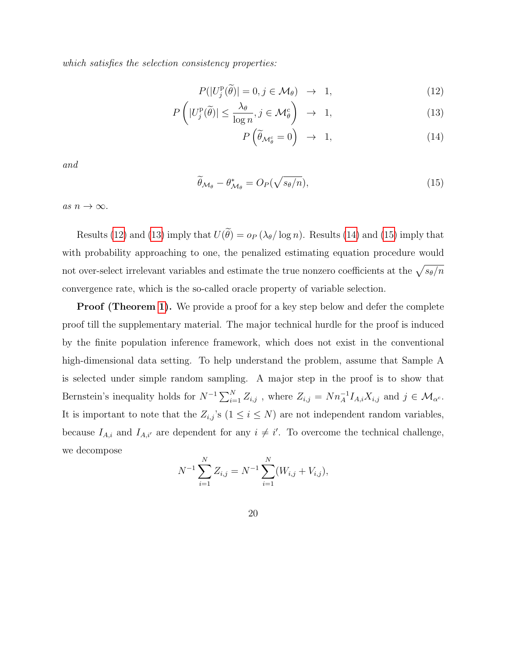which satisfies the selection consistency properties:

<span id="page-19-0"></span>
$$
P(|U_j^{\mathbf{p}}(\tilde{\theta})| = 0, j \in \mathcal{M}_{\theta}) \rightarrow 1,
$$
\n(12)

$$
P\left(|U_j^{\mathcal{P}}(\tilde{\theta})| \le \frac{\lambda_{\theta}}{\log n}, j \in \mathcal{M}_{\theta}^c\right) \rightarrow 1, \tag{13}
$$

$$
P\left(\widetilde{\theta}_{\mathcal{M}_{\theta}^{c}}=0\right) \rightarrow 1, \qquad (14)
$$

and

<span id="page-19-1"></span>
$$
\widetilde{\theta}_{\mathcal{M}_{\theta}} - \theta_{\mathcal{M}_{\theta}}^* = O_P(\sqrt{s_{\theta}/n}),\tag{15}
$$

as  $n \to \infty$ .

Results [\(12\)](#page-19-0) and [\(13\)](#page-19-0) imply that  $U(\tilde{\theta}) = o_P(\lambda_{\theta}/\log n)$ . Results [\(14\)](#page-19-0) and [\(15\)](#page-19-1) imply that with probability approaching to one, the penalized estimating equation procedure would not over-select irrelevant variables and estimate the true nonzero coefficients at the  $\sqrt{s_\theta/n}$ convergence rate, which is the so-called oracle property of variable selection.

**Proof (Theorem [1\)](#page-18-0).** We provide a proof for a key step below and defer the complete proof till the supplementary material. The major technical hurdle for the proof is induced by the finite population inference framework, which does not exist in the conventional high-dimensional data setting. To help understand the problem, assume that Sample A is selected under simple random sampling. A major step in the proof is to show that Bernstein's inequality holds for  $N^{-1}\sum_{i=1}^N Z_{i,j}$ , where  $Z_{i,j} = N n_A^{-1} I_{A,i} X_{i,j}$  and  $j \in \mathcal{M}_{\alpha^c}$ . It is important to note that the  $Z_{i,j}$ 's  $(1 \leq i \leq N)$  are not independent random variables, because  $I_{A,i}$  and  $I_{A,i'}$  are dependent for any  $i \neq i'$ . To overcome the technical challenge, we decompose

$$
N^{-1} \sum_{i=1}^{N} Z_{i,j} = N^{-1} \sum_{i=1}^{N} (W_{i,j} + V_{i,j}),
$$

20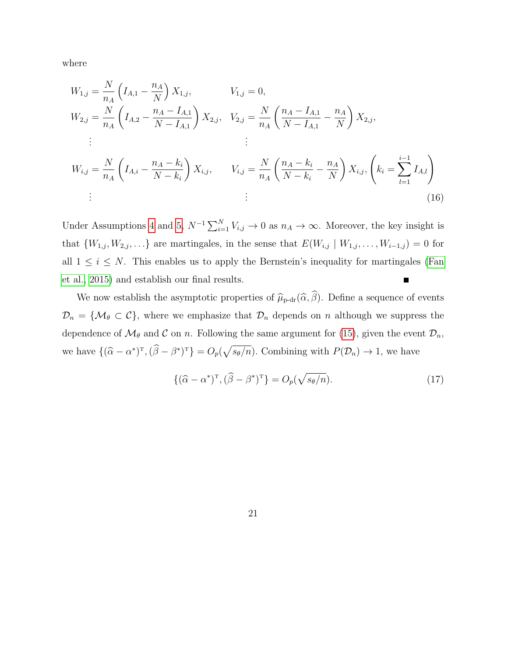where

$$
W_{1,j} = \frac{N}{n_A} \left( I_{A,1} - \frac{n_A}{N} \right) X_{1,j}, \qquad V_{1,j} = 0,
$$
  
\n
$$
W_{2,j} = \frac{N}{n_A} \left( I_{A,2} - \frac{n_A - I_{A,1}}{N - I_{A,1}} \right) X_{2,j}, \quad V_{2,j} = \frac{N}{n_A} \left( \frac{n_A - I_{A,1}}{N - I_{A,1}} - \frac{n_A}{N} \right) X_{2,j},
$$
  
\n
$$
\vdots \qquad \vdots
$$
  
\n
$$
W_{i,j} = \frac{N}{n_A} \left( I_{A,i} - \frac{n_A - k_i}{N - k_i} \right) X_{i,j}, \qquad V_{i,j} = \frac{N}{n_A} \left( \frac{n_A - k_i}{N - k_i} - \frac{n_A}{N} \right) X_{i,j}, \left( k_i = \sum_{l=1}^{i-1} I_{A,l} \right)
$$
  
\n
$$
\vdots \qquad \qquad \vdots \qquad \qquad (16)
$$

Under Assumptions [4](#page-16-1) and [5,](#page-17-0)  $N^{-1} \sum_{i=1}^{N} V_{i,j} \to 0$  as  $n_A \to \infty$ . Moreover, the key insight is that  $\{W_{1,j}, W_{2,j}, \ldots\}$  are martingales, in the sense that  $E(W_{i,j} | W_{1,j}, \ldots, W_{i-1,j}) = 0$  for all  $1 \leq i \leq N$ . This enables us to apply the Bernstein's inequality for martingales [\(Fan](#page-37-9) [et al., 2015\)](#page-37-9) and establish our final results.

We now establish the asymptotic properties of  $\hat{\mu}_{p\text{-dr}}(\hat{\alpha}, \hat{\beta})$ . Define a sequence of events  $\mathcal{D}_n = \{ \mathcal{M}_{\theta} \subset \mathcal{C} \}$ , where we emphasize that  $\mathcal{D}_n$  depends on n although we suppress the dependence of  $\mathcal{M}_{\theta}$  and  $\mathcal C$  on n. Following the same argument for [\(15\)](#page-19-1), given the event  $\mathcal D_n$ , we have  $\{(\hat{\alpha} - \alpha^*)^T, (\hat{\beta} - \beta^*)^T\} = O_p(\sqrt{s_\theta/n})$ . Combining with  $P(\mathcal{D}_n) \to 1$ , we have

<span id="page-20-1"></span><span id="page-20-0"></span>
$$
\{(\widehat{\alpha} - \alpha^*)^{\mathrm{T}}, (\widehat{\beta} - \beta^*)^{\mathrm{T}}\} = O_p(\sqrt{s_\theta/n}).\tag{17}
$$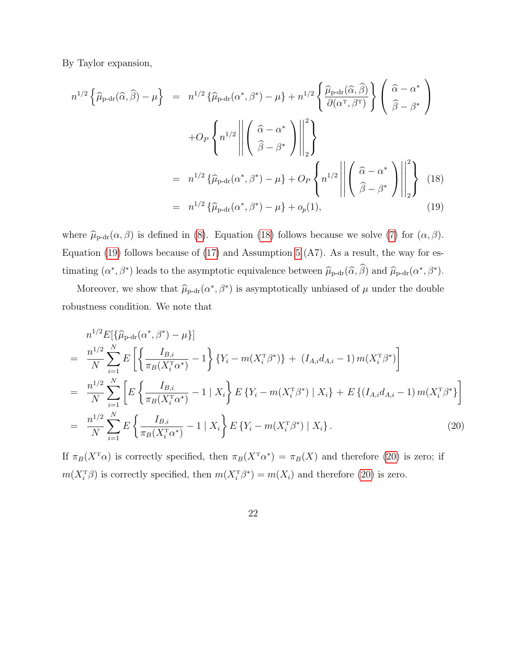By Taylor expansion,

<span id="page-21-0"></span>
$$
n^{1/2} \left\{ \widehat{\mu}_{\text{p-dr}}(\widehat{\alpha}, \widehat{\beta}) - \mu \right\} = n^{1/2} \left\{ \widehat{\mu}_{\text{p-dr}}(\alpha^*, \beta^*) - \mu \right\} + n^{1/2} \left\{ \frac{\widehat{\mu}_{\text{p-dr}}(\widehat{\alpha}, \widehat{\beta})}{\partial(\alpha^{\text{T}}, \beta^{\text{T}})} \right\} \left( \frac{\widehat{\alpha} - \alpha^*}{\widehat{\beta} - \beta^*} \right)
$$

$$
+ O_P \left\{ n^{1/2} \left\| \left( \frac{\widehat{\alpha} - \alpha^*}{\widehat{\beta} - \beta^*} \right) \right\|_2^2 \right\}
$$

$$
= n^{1/2} \left\{ \widehat{\mu}_{\text{p-dr}}(\alpha^*, \beta^*) - \mu \right\} + O_P \left\{ n^{1/2} \left\| \left( \frac{\widehat{\alpha} - \alpha^*}{\widehat{\beta} - \beta^*} \right) \right\|_2^2 \right\} \left( 18 \right)
$$

$$
= n^{1/2} \left\{ \widehat{\mu}_{\text{p-dr}}(\alpha^*, \beta^*) - \mu \right\} + o_p(1), \tag{19}
$$

where  $\hat{\mu}_{p\text{-dr}}(\alpha, \beta)$  is defined in [\(8\)](#page-13-0). Equation [\(18\)](#page-21-0) follows because we solve [\(7\)](#page-12-0) for  $(\alpha, \beta)$ . Equation [\(19\)](#page-21-0) follows because of [\(17\)](#page-20-0) and Assumption [5](#page-17-0) (A7). As a result, the way for estimating  $(\alpha^*, \beta^*)$  leads to the asymptotic equivalence between  $\hat{\mu}_{p-dr}(\hat{\alpha}, \hat{\beta})$  and  $\hat{\mu}_{p-dr}(\alpha^*, \beta^*)$ .

Moreover, we show that  $\hat{\mu}_{p\text{-dr}}(\alpha^*, \beta^*)$  is asymptotically unbiased of  $\mu$  under the double robustness condition. We note that

<span id="page-21-1"></span>
$$
n^{1/2} E[\{\widehat{\mu}_{p\text{-dr}}(\alpha^*, \beta^*) - \mu\}]
$$
  
\n
$$
= \frac{n^{1/2}}{N} \sum_{i=1}^N E\left[\left\{\frac{I_{B,i}}{\pi_B(X_i^{\text{T}}\alpha^*)} - 1\right\} \{Y_i - m(X_i^{\text{T}}\beta^*)\} + (I_{A,i}d_{A,i} - 1) m(X_i^{\text{T}}\beta^*)\right]
$$
  
\n
$$
= \frac{n^{1/2}}{N} \sum_{i=1}^N \left[E\left\{\frac{I_{B,i}}{\pi_B(X_i^{\text{T}}\alpha^*)} - 1 \mid X_i\right\} E\{Y_i - m(X_i^{\text{T}}\beta^*) \mid X_i\} + E\{(I_{A,i}d_{A,i} - 1) m(X_i^{\text{T}}\beta^*)\}\right]
$$
  
\n
$$
= \frac{n^{1/2}}{N} \sum_{i=1}^N E\left\{\frac{I_{B,i}}{\pi_B(X_i^{\text{T}}\alpha^*)} - 1 \mid X_i\right\} E\{Y_i - m(X_i^{\text{T}}\beta^*) \mid X_i\}.
$$
 (20)

If  $\pi_B(X^{\mathsf{T}}\alpha)$  is correctly specified, then  $\pi_B(X^{\mathsf{T}}\alpha^*) = \pi_B(X)$  and therefore [\(20\)](#page-21-1) is zero; if  $m(X_i^{\text{T}}\beta)$  is correctly specified, then  $m(X_i^{\text{T}}\beta^*) = m(X_i)$  and therefore [\(20\)](#page-21-1) is zero.

22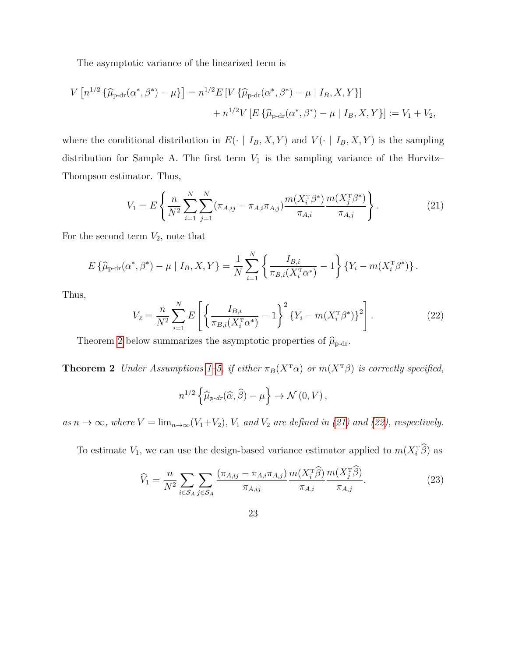The asymptotic variance of the linearized term is

$$
V[n^{1/2}\{\hat{\mu}_{\text{p-dr}}(\alpha^*, \beta^*) - \mu\}] = n^{1/2}E[V\{\hat{\mu}_{\text{p-dr}}(\alpha^*, \beta^*) - \mu | I_B, X, Y\}] + n^{1/2}V[E\{\hat{\mu}_{\text{p-dr}}(\alpha^*, \beta^*) - \mu | I_B, X, Y\}] := V_1 + V_2,
$$

where the conditional distribution in  $E(\cdot | I_B, X, Y)$  and  $V(\cdot | I_B, X, Y)$  is the sampling distribution for Sample A. The first term  $V_1$  is the sampling variance of the Horvitz– Thompson estimator. Thus,

<span id="page-22-1"></span>
$$
V_1 = E\left\{\frac{n}{N^2} \sum_{i=1}^N \sum_{j=1}^N (\pi_{A,ij} - \pi_{A,i}\pi_{A,j}) \frac{m(X_i^{\mathrm{T}}\beta^*)}{\pi_{A,i}} \frac{m(X_j^{\mathrm{T}}\beta^*)}{\pi_{A,j}}\right\}.
$$
 (21)

For the second term  $V_2$ , note that

$$
E\left\{\widehat{\mu}_{p\text{-dr}}(\alpha^*, \beta^*) - \mu \mid I_B, X, Y\right\} = \frac{1}{N} \sum_{i=1}^N \left\{ \frac{I_{B,i}}{\pi_{B,i}(X_i^{\text{T}} \alpha^*)} - 1 \right\} \left\{ Y_i - m(X_i^{\text{T}} \beta^*) \right\}.
$$

Thus,

<span id="page-22-2"></span>
$$
V_2 = \frac{n}{N^2} \sum_{i=1}^{N} E\left[ \left\{ \frac{I_{B,i}}{\pi_{B,i}(X_i^{\mathrm{T}} \alpha^*)} - 1 \right\}^2 \{ Y_i - m(X_i^{\mathrm{T}} \beta^*) \}^2 \right].
$$
 (22)

Theorem [2](#page-22-0) below summarizes the asymptotic properties of  $\widehat{\mu}_{p\text{-dr}}$ .

<span id="page-22-0"></span>**Theorem 2** Under Assumptions [1–](#page-6-1)[5,](#page-17-0) if either  $\pi_B(X^T\alpha)$  or  $m(X^T\beta)$  is correctly specified,

$$
n^{1/2}\left\{\widehat{\mu}_{p-dr}(\widehat{\alpha},\widehat{\beta})-\mu\right\}\to\mathcal{N}\left(0,V\right),\,
$$

as  $n \to \infty$ , where  $V = \lim_{n \to \infty} (V_1 + V_2)$ ,  $V_1$  and  $V_2$  are defined in [\(21\)](#page-22-1) and [\(22\)](#page-22-2), respectively.

To estimate  $V_1$ , we can use the design-based variance estimator applied to  $m(X_i^T \beta)$  as

<span id="page-22-3"></span>
$$
\widehat{V}_1 = \frac{n}{N^2} \sum_{i \in \mathcal{S}_A} \sum_{j \in \mathcal{S}_A} \frac{(\pi_{A,ij} - \pi_{A,i}\pi_{A,j})}{\pi_{A,ij}} \frac{m(X_i^T \widehat{\beta})}{\pi_{A,i}} \frac{m(X_j^T \widehat{\beta})}{\pi_{A,j}}.
$$
(23)

23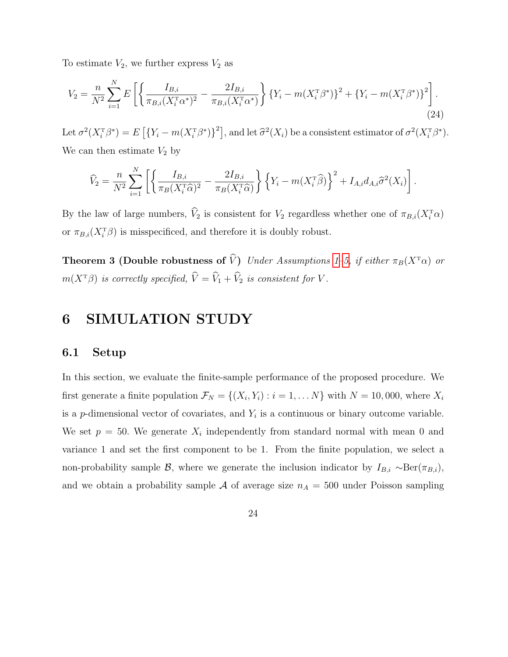To estimate  $V_2$ , we further express  $V_2$  as

$$
V_2 = \frac{n}{N^2} \sum_{i=1}^{N} E\left[ \left\{ \frac{I_{B,i}}{\pi_{B,i}(X_i^{\mathrm{T}} \alpha^*)^2} - \frac{2I_{B,i}}{\pi_{B,i}(X_i^{\mathrm{T}} \alpha^*)} \right\} \{Y_i - m(X_i^{\mathrm{T}} \beta^*)\}^2 + \{Y_i - m(X_i^{\mathrm{T}} \beta^*)\}^2 \right].
$$
\n(24)

Let  $\sigma^2(X_i^T \beta^*) = E\left[\{Y_i - m(X_i^T \beta^*)\}^2\right]$ , and let  $\hat{\sigma}^2(X_i)$  be a consistent estimator of  $\sigma^2(X_i^T \beta^*)$ . We can then estimate  $V_2$  by

$$
\widehat{V}_2 = \frac{n}{N^2} \sum_{i=1}^N \left[ \left\{ \frac{I_{B,i}}{\pi_B(X_i^{\mathrm{T}}\widehat{\alpha})^2} - \frac{2I_{B,i}}{\pi_B(X_i^{\mathrm{T}}\widehat{\alpha})} \right\} \left\{ Y_i - m(X_i^{\mathrm{T}}\widehat{\beta}) \right\}^2 + I_{A,i} d_{A,i} \widehat{\sigma}^2(X_i) \right].
$$

By the law of large numbers,  $V_2$  is consistent for  $V_2$  regardless whether one of  $\pi_{B,i}(X_i^{\mathsf{T}}\alpha)$ or  $\pi_{B,i}(X_i^T \beta)$  is misspecificed, and therefore it is doubly robust.

**Theorem 3 (Double robustness of**  $\widehat{V}$ **)** Under Assumptions [1](#page-6-1)[–5,](#page-17-0) if either  $\pi_B(X^T\alpha)$  or  $m(X^T\beta)$  is correctly specified,  $\widehat{V} = \widehat{V}_1 + \widehat{V}_2$  is consistent for V.

# <span id="page-23-0"></span>6 SIMULATION STUDY

### 6.1 Setup

In this section, we evaluate the finite-sample performance of the proposed procedure. We first generate a finite population  $\mathcal{F}_N = \{(X_i, Y_i) : i = 1, \dots N\}$  with  $N = 10,000$ , where  $X_i$ is a p-dimensional vector of covariates, and  $Y_i$  is a continuous or binary outcome variable. We set  $p = 50$ . We generate  $X_i$  independently from standard normal with mean 0 and variance 1 and set the first component to be 1. From the finite population, we select a non-probability sample B, where we generate the inclusion indicator by  $I_{B,i} \sim \text{Ber}(\pi_{B,i}),$ and we obtain a probability sample  $A$  of average size  $n_A = 500$  under Poisson sampling

24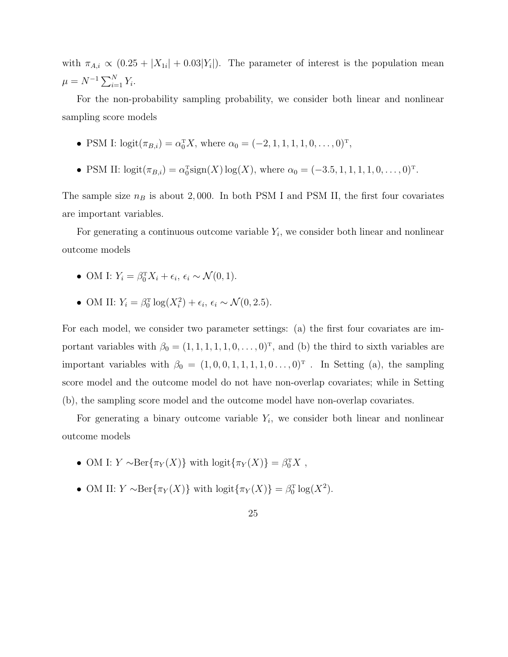with  $\pi_{A,i} \propto (0.25 + |X_{1i}| + 0.03|Y_i|)$ . The parameter of interest is the population mean  $\mu = N^{-1} \sum_{i=1}^{N} Y_i.$ 

For the non-probability sampling probability, we consider both linear and nonlinear sampling score models

- PSM I:  $logit(\pi_{B,i}) = \alpha_0^T X$ , where  $\alpha_0 = (-2, 1, 1, 1, 1, 0, \dots, 0)^T$ ,
- PSM II:  $logit(\pi_{B,i}) = \alpha_0^T sign(X) log(X)$ , where  $\alpha_0 = (-3.5, 1, 1, 1, 1, 0, \dots, 0)^T$ .

The sample size  $n_B$  is about 2,000. In both PSM I and PSM II, the first four covariates are important variables.

For generating a continuous outcome variable  $Y_i$ , we consider both linear and nonlinear outcome models

- OM I:  $Y_i = \beta_0^T X_i + \epsilon_i, \epsilon_i \sim \mathcal{N}(0, 1).$
- OM II:  $Y_i = \beta_0^{\text{T}} \log(X_i^2) + \epsilon_i, \epsilon_i \sim \mathcal{N}(0, 2.5).$

For each model, we consider two parameter settings: (a) the first four covariates are important variables with  $\beta_0 = (1, 1, 1, 1, 1, 0, \dots, 0)^T$ , and (b) the third to sixth variables are important variables with  $\beta_0 = (1, 0, 0, 1, 1, 1, 1, 0, \ldots, 0)^T$ . In Setting (a), the sampling score model and the outcome model do not have non-overlap covariates; while in Setting (b), the sampling score model and the outcome model have non-overlap covariates.

For generating a binary outcome variable  $Y_i$ , we consider both linear and nonlinear outcome models

- OM I:  $Y \sim \text{Ber}\{\pi_Y(X)\}$  with  $\text{logit}\{\pi_Y(X)\} = \beta_0^T X$ ,
- OM II:  $Y \sim \text{Ber}\{\pi_Y(X)\}\$  with  $\text{logit}\{\pi_Y(X)\} = \beta_0^{\text{T}} \log(X^2)$ .
	- 25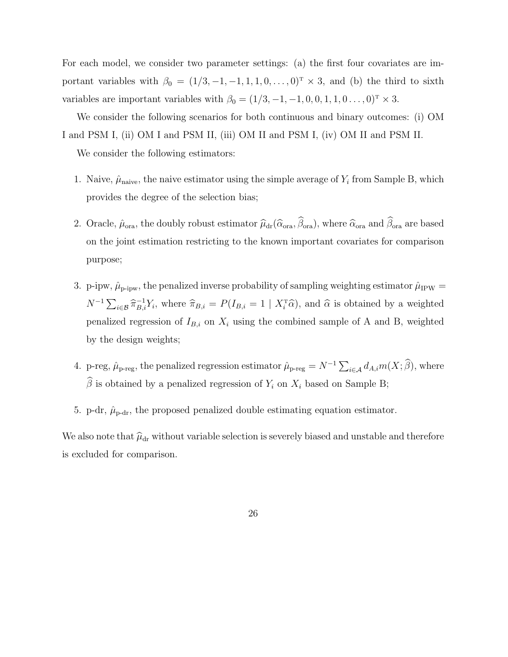For each model, we consider two parameter settings: (a) the first four covariates are important variables with  $\beta_0 = (1/3, -1, -1, 1, 1, 0, \ldots, 0)^T \times 3$ , and (b) the third to sixth variables are important variables with  $\beta_0 = (1/3, -1, -1, 0, 0, 1, 1, 0 \dots, 0)^T \times 3$ .

We consider the following scenarios for both continuous and binary outcomes: (i) OM I and PSM I, (ii) OM I and PSM II, (iii) OM II and PSM I, (iv) OM II and PSM II.

We consider the following estimators:

- 1. Naive,  $\hat{\mu}_{\text{naive}}$ , the naive estimator using the simple average of  $Y_i$  from Sample B, which provides the degree of the selection bias;
- 2. Oracle,  $\hat{\mu}_{ora}$ , the doubly robust estimator  $\hat{\mu}_{dr}(\hat{\alpha}_{ora}, \hat{\beta}_{ora})$ , where  $\hat{\alpha}_{ora}$  and  $\hat{\beta}_{ora}$  are based on the joint estimation restricting to the known important covariates for comparison purpose;
- 3. p-ipw,  $\hat{\mu}_{\text{p-ipw}}$ , the penalized inverse probability of sampling weighting estimator  $\hat{\mu}_{\text{IPW}} =$  $N^{-1}\sum_{i\in\mathcal{B}}\widehat{\pi}_{B,i}^{-1}Y_i$ , where  $\widehat{\pi}_{B,i} = P(I_{B,i} = 1 \mid X_i^{\mathrm{T}}\widehat{\alpha})$ , and  $\widehat{\alpha}$  is obtained by a weighted penalized regression of  $I_{B,i}$  on  $X_i$  using the combined sample of A and B, weighted by the design weights;
- 4. p-reg,  $\hat{\mu}_{p-reg}$ , the penalized regression estimator  $\hat{\mu}_{p-reg} = N^{-1} \sum_{i \in \mathcal{A}} d_{A,i} m(X; \hat{\beta})$ , where  $\widehat{\beta}$  is obtained by a penalized regression of  $Y_i$  on  $X_i$  based on Sample B;
- 5. p-dr,  $\hat{\mu}_{\text{p-dr}}$ , the proposed penalized double estimating equation estimator.

We also note that  $\hat{\mu}_{dr}$  without variable selection is severely biased and unstable and therefore is excluded for comparison.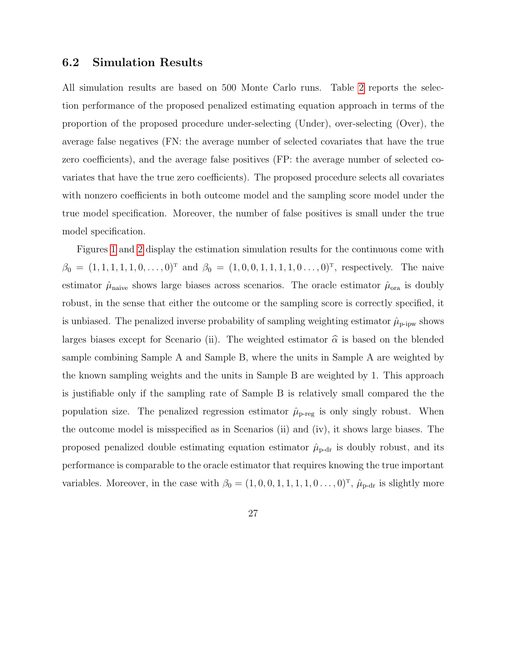### 6.2 Simulation Results

All simulation results are based on 500 Monte Carlo runs. Table [2](#page-28-0) reports the selection performance of the proposed penalized estimating equation approach in terms of the proportion of the proposed procedure under-selecting (Under), over-selecting (Over), the average false negatives (FN: the average number of selected covariates that have the true zero coefficients), and the average false positives (FP: the average number of selected covariates that have the true zero coefficients). The proposed procedure selects all covariates with nonzero coefficients in both outcome model and the sampling score model under the true model specification. Moreover, the number of false positives is small under the true model specification.

Figures [1](#page-29-0) and [2](#page-30-0) display the estimation simulation results for the continuous come with  $\beta_0 = (1, 1, 1, 1, 1, 0, \ldots, 0)^T$  and  $\beta_0 = (1, 0, 0, 1, 1, 1, 1, 0, \ldots, 0)^T$ , respectively. The naive estimator  $\hat{\mu}_{\text{naive}}$  shows large biases across scenarios. The oracle estimator  $\hat{\mu}_{\text{ora}}$  is doubly robust, in the sense that either the outcome or the sampling score is correctly specified, it is unbiased. The penalized inverse probability of sampling weighting estimator  $\hat{\mu}_{\text{p-ipw}}$  shows larges biases except for Scenario (ii). The weighted estimator  $\hat{\alpha}$  is based on the blended sample combining Sample A and Sample B, where the units in Sample A are weighted by the known sampling weights and the units in Sample B are weighted by 1. This approach is justifiable only if the sampling rate of Sample B is relatively small compared the the population size. The penalized regression estimator  $\hat{\mu}_{p-reg}$  is only singly robust. When the outcome model is misspecified as in Scenarios (ii) and (iv), it shows large biases. The proposed penalized double estimating equation estimator  $\hat{\mu}_{p-dr}$  is doubly robust, and its performance is comparable to the oracle estimator that requires knowing the true important variables. Moreover, in the case with  $\beta_0 = (1, 0, 0, 1, 1, 1, 1, 0, \ldots, 0)^T$ ,  $\hat{\mu}_{p-dr}$  is slightly more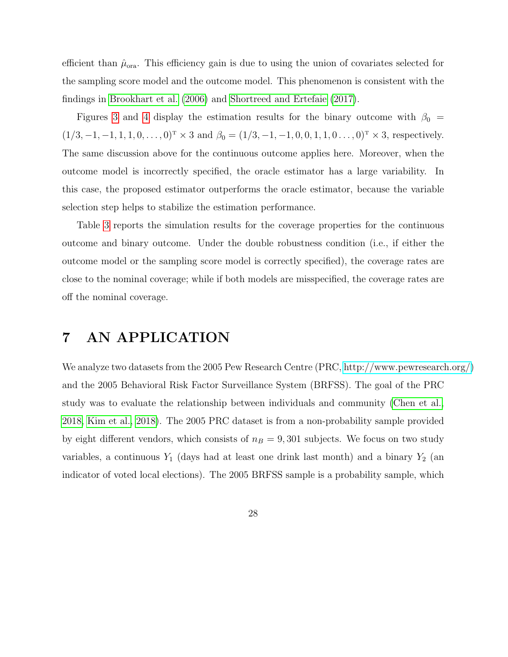efficient than  $\hat{\mu}_{\text{ora}}$ . This efficiency gain is due to using the union of covariates selected for the sampling score model and the outcome model. This phenomenon is consistent with the findings in [Brookhart et al.](#page-36-6) [\(2006\)](#page-36-6) and [Shortreed and Ertefaie](#page-39-8) [\(2017\)](#page-39-8).

Figures [3](#page-31-0) and [4](#page-32-0) display the estimation results for the binary outcome with  $\beta_0 =$  $(1/3, -1, -1, 1, 1, 0, \ldots, 0)^T \times 3$  and  $\beta_0 = (1/3, -1, -1, 0, 0, 1, 1, 0 \ldots, 0)^T \times 3$ , respectively. The same discussion above for the continuous outcome applies here. Moreover, when the outcome model is incorrectly specified, the oracle estimator has a large variability. In this case, the proposed estimator outperforms the oracle estimator, because the variable selection step helps to stabilize the estimation performance.

Table [3](#page-33-0) reports the simulation results for the coverage properties for the continuous outcome and binary outcome. Under the double robustness condition (i.e., if either the outcome model or the sampling score model is correctly specified), the coverage rates are close to the nominal coverage; while if both models are misspecified, the coverage rates are off the nominal coverage.

## <span id="page-27-0"></span>7 AN APPLICATION

We analyze two datasets from the 2005 Pew Research Centre (PRC, [http://www.pewresearch.org/\)](http://www.pewresearch.org/) and the 2005 Behavioral Risk Factor Surveillance System (BRFSS). The goal of the PRC study was to evaluate the relationship between individuals and community [\(Chen et al.,](#page-36-0) [2018,](#page-36-0) [Kim et al., 2018\)](#page-38-8). The 2005 PRC dataset is from a non-probability sample provided by eight different vendors, which consists of  $n_B = 9,301$  subjects. We focus on two study variables, a continuous  $Y_1$  (days had at least one drink last month) and a binary  $Y_2$  (an indicator of voted local elections). The 2005 BRFSS sample is a probability sample, which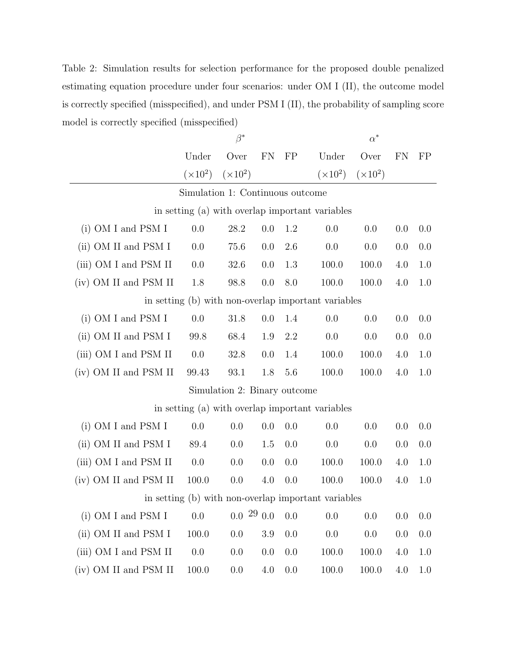<span id="page-28-0"></span>Table 2: Simulation results for selection performance for the proposed double penalized estimating equation procedure under four scenarios: under OM I (II), the outcome model is correctly specified (misspecified), and under PSM I (II), the probability of sampling score model is correctly specified (misspecified)

|                                                     | $\beta^*$       |                 |     | $\alpha^*$ |                                                 |                 |     |     |
|-----------------------------------------------------|-----------------|-----------------|-----|------------|-------------------------------------------------|-----------------|-----|-----|
|                                                     | Under           | Over            | FN  | FP         | Under                                           | Over            | FN  | FP  |
|                                                     | $(\times 10^2)$ | $(\times 10^2)$ |     |            | $(\times 10^2)$                                 | $(\times 10^2)$ |     |     |
| Simulation 1: Continuous outcome                    |                 |                 |     |            |                                                 |                 |     |     |
| in setting (a) with overlap important variables     |                 |                 |     |            |                                                 |                 |     |     |
| $(i)$ OM I and PSM I                                | 0.0             | 28.2            | 0.0 | 1.2        | 0.0                                             | 0.0             | 0.0 | 0.0 |
| (ii) OM II and PSM I                                | 0.0             | 75.6            | 0.0 | 2.6        | 0.0                                             | 0.0             | 0.0 | 0.0 |
| (iii) OM I and PSM II                               | 0.0             | 32.6            | 0.0 | 1.3        | 100.0                                           | 100.0           | 4.0 | 1.0 |
| (iv) OM II and PSM II                               | 1.8             | 98.8            | 0.0 | 8.0        | 100.0                                           | 100.0           | 4.0 | 1.0 |
| in setting (b) with non-overlap important variables |                 |                 |     |            |                                                 |                 |     |     |
| (i) OM I and PSM I                                  | 0.0             | 31.8            | 0.0 | 1.4        | 0.0                                             | 0.0             | 0.0 | 0.0 |
| (ii) OM II and PSM I                                | 99.8            | 68.4            | 1.9 | 2.2        | 0.0                                             | 0.0             | 0.0 | 0.0 |
| (iii) OM I and PSM II                               | 0.0             | 32.8            | 0.0 | 1.4        | 100.0                                           | 100.0           | 4.0 | 1.0 |
| (iv) OM II and PSM II                               | 99.43           | 93.1            | 1.8 | 5.6        | 100.0                                           | 100.0           | 4.0 | 1.0 |
| Simulation 2: Binary outcome                        |                 |                 |     |            |                                                 |                 |     |     |
|                                                     |                 |                 |     |            | in setting (a) with overlap important variables |                 |     |     |
| (i) OM I and PSM I                                  | 0.0             | 0.0             | 0.0 | 0.0        | 0.0                                             | 0.0             | 0.0 | 0.0 |
| (ii) OM II and PSM I                                | 89.4            | 0.0             | 1.5 | 0.0        | 0.0                                             | 0.0             | 0.0 | 0.0 |
| (iii) OM I and PSM II                               | 0.0             | 0.0             | 0.0 | 0.0        | 100.0                                           | 100.0           | 4.0 | 1.0 |
| (iv) OM II and PSM II                               | 100.0           | 0.0             | 4.0 | 0.0        | 100.0                                           | 100.0           | 4.0 | 1.0 |
| in setting (b) with non-overlap important variables |                 |                 |     |            |                                                 |                 |     |     |
| (i) OM I and PSM I                                  | 0.0             | $0.0\,29\,0.0$  |     | 0.0        | 0.0                                             | 0.0             | 0.0 | 0.0 |
| (ii) OM II and PSM I                                | 100.0           | 0.0             | 3.9 | 0.0        | 0.0                                             | 0.0             | 0.0 | 0.0 |
| (iii) OM I and PSM II                               | 0.0             | 0.0             | 0.0 | 0.0        | 100.0                                           | 100.0           | 4.0 | 1.0 |
| (iv) OM II and PSM II                               | 100.0           | 0.0             | 4.0 | $0.0\,$    | 100.0                                           | 100.0           | 4.0 | 1.0 |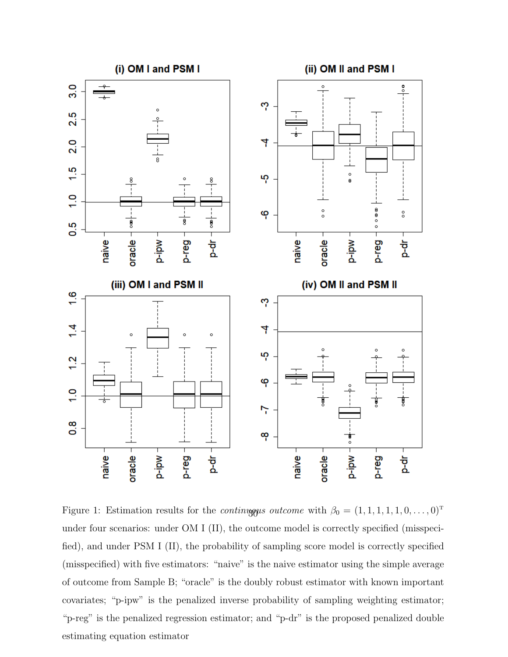

<span id="page-29-0"></span>Figure 1: Estimation results for the *continually outcome* with  $\beta_0 = (1, 1, 1, 1, 1, 0, \ldots, 0)^T$ under four scenarios: under OM I (II), the outcome model is correctly specified (misspecified), and under PSM I (II), the probability of sampling score model is correctly specified (misspecified) with five estimators: "naive" is the naive estimator using the simple average of outcome from Sample B; "oracle" is the doubly robust estimator with known important covariates; "p-ipw" is the penalized inverse probability of sampling weighting estimator; "p-reg" is the penalized regression estimator; and "p-dr" is the proposed penalized double estimating equation estimator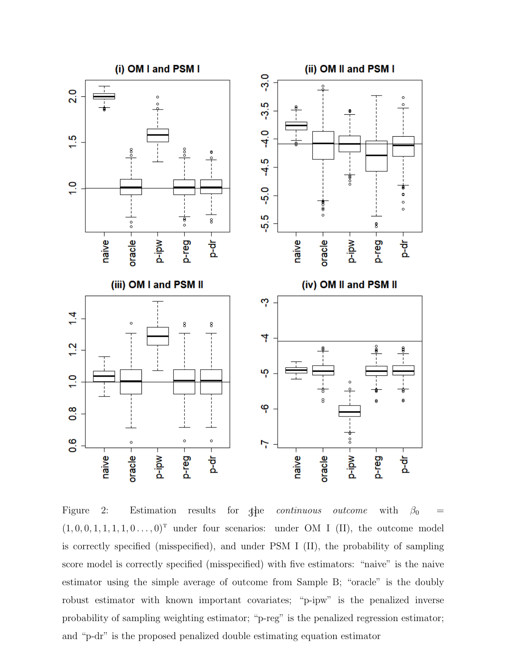

<span id="page-30-0"></span>Figure 2: Estimation results for the continuous outcome with  $\beta_0 =$  $(1, 0, 0, 1, 1, 1, 1, 0, \ldots, 0)^T$  under four scenarios: under OM I (II), the outcome model is correctly specified (misspecified), and under PSM I (II), the probability of sampling score model is correctly specified (misspecified) with five estimators: "naive" is the naive estimator using the simple average of outcome from Sample B; "oracle" is the doubly robust estimator with known important covariates; "p-ipw" is the penalized inverse probability of sampling weighting estimator; "p-reg" is the penalized regression estimator; and "p-dr" is the proposed penalized double estimating equation estimator 31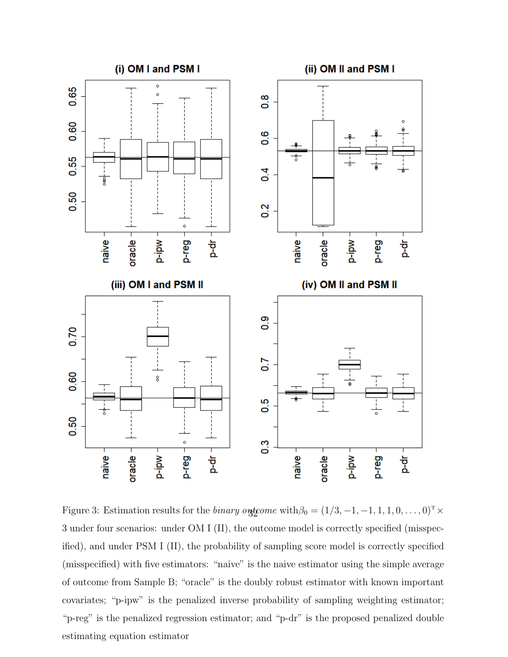

<span id="page-31-0"></span>Figure 3: Estimation results for the *binary over with*  $\beta_0 = (1/3, -1, -1, 1, 1, 0, \dots, 0)^T \times$ 3 under four scenarios: under OM I (II), the outcome model is correctly specified (misspecified), and under PSM I (II), the probability of sampling score model is correctly specified (misspecified) with five estimators: "naive" is the naive estimator using the simple average of outcome from Sample B; "oracle" is the doubly robust estimator with known important covariates; "p-ipw" is the penalized inverse probability of sampling weighting estimator; "p-reg" is the penalized regression estimator; and "p-dr" is the proposed penalized double estimating equation estimator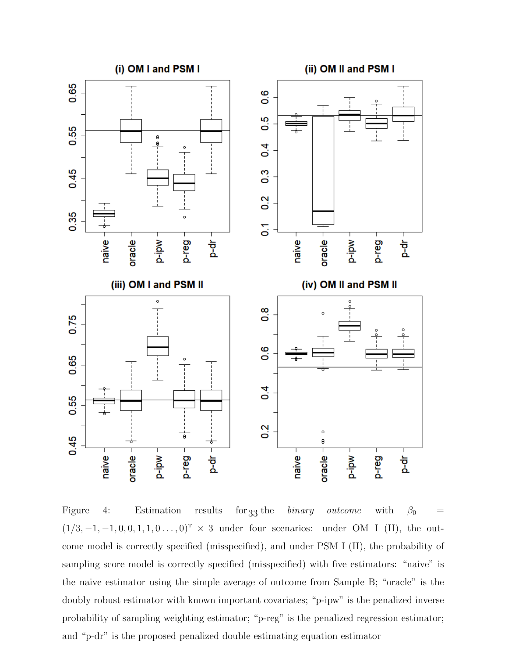

<span id="page-32-0"></span>Figure 4: Estimation results for 33 the binary outcome with  $\beta_0 =$  $(1/3, -1, -1, 0, 0, 1, 1, 0 \ldots, 0)^T$  × 3 under four scenarios: under OM I (II), the outcome model is correctly specified (misspecified), and under PSM I (II), the probability of sampling score model is correctly specified (misspecified) with five estimators: "naive" is the naive estimator using the simple average of outcome from Sample B; "oracle" is the doubly robust estimator with known important covariates; "p-ipw" is the penalized inverse probability of sampling weighting estimator; "p-reg" is the penalized regression estimator; and "p-dr" is the proposed penalized double estimating equation estimator for  $33$  the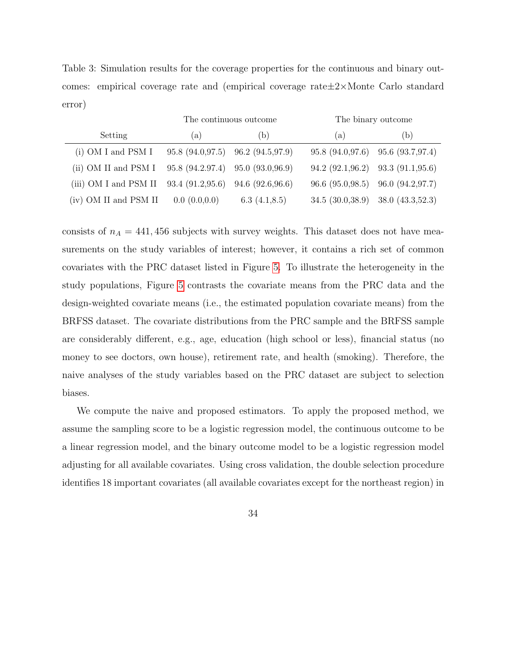<span id="page-33-0"></span>Table 3: Simulation results for the coverage properties for the continuous and binary outcomes: empirical coverage rate and (empirical coverage rate±2×Monte Carlo standard error)

|                       |                                         | The continuous outcome | The binary outcome                        |                                     |  |  |
|-----------------------|-----------------------------------------|------------------------|-------------------------------------------|-------------------------------------|--|--|
| Setting               | (a)                                     | (b)                    | (a)                                       | (b)                                 |  |  |
| $(i)$ OM I and PSM I  | $95.8 (94.0, 97.5)$ $96.2 (94.5, 97.9)$ |                        | 95.8 (94.0,97.6) 95.6 (93.7,97.4)         |                                     |  |  |
| (ii) OM II and PSM I  | 95.8(94.2.97.4)                         | 95.0(93.0,96.9)        | $94.2$ $(92.1,96.2)$ $93.3$ $(91.1,95.6)$ |                                     |  |  |
| (iii) OM I and PSM II | 93.4(91.2,95.6)                         | 94.6(92.6,96.6)        |                                           | 96.6 (95.0, 98.5) 96.0 (94.2, 97.7) |  |  |
| (iv) OM II and PSM II | 0.0(0.0,0.0)                            | 6.3 $(4.1, 8.5)$       | $34.5(30.038.9)$ $38.0(43.3352.3)$        |                                     |  |  |

consists of  $n_A = 441,456$  subjects with survey weights. This dataset does not have measurements on the study variables of interest; however, it contains a rich set of common covariates with the PRC dataset listed in Figure [5.](#page-34-0) To illustrate the heterogeneity in the study populations, Figure [5](#page-34-0) contrasts the covariate means from the PRC data and the design-weighted covariate means (i.e., the estimated population covariate means) from the BRFSS dataset. The covariate distributions from the PRC sample and the BRFSS sample are considerably different, e.g., age, education (high school or less), financial status (no money to see doctors, own house), retirement rate, and health (smoking). Therefore, the naive analyses of the study variables based on the PRC dataset are subject to selection biases.

We compute the naive and proposed estimators. To apply the proposed method, we assume the sampling score to be a logistic regression model, the continuous outcome to be a linear regression model, and the binary outcome model to be a logistic regression model adjusting for all available covariates. Using cross validation, the double selection procedure identifies 18 important covariates (all available covariates except for the northeast region) in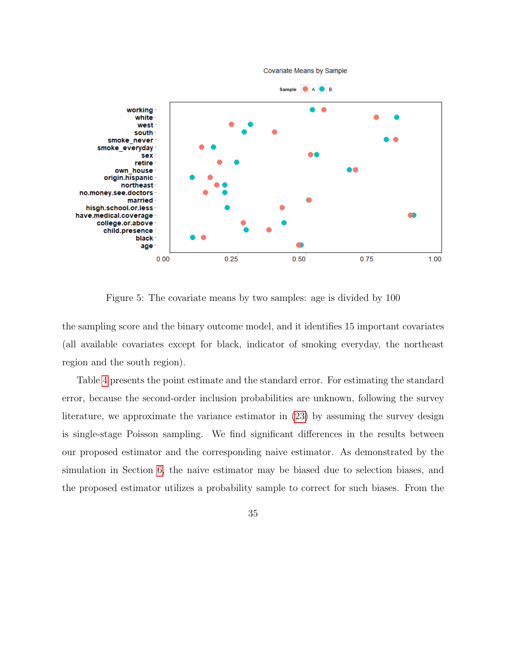

<span id="page-34-0"></span>Figure 5: The covariate means by two samples: age is divided by 100

the sampling score and the binary outcome model, and it identifies 15 important covariates (all available covariates except for black, indicator of smoking everyday, the northeast region and the south region).

Table [4](#page-35-1) presents the point estimate and the standard error. For estimating the standard error, because the second-order inclusion probabilities are unknown, following the survey literature, we approximate the variance estimator in [\(23\)](#page-22-3) by assuming the survey design is single-stage Poisson sampling. We find significant differences in the results between our proposed estimator and the corresponding naive estimator. As demonstrated by the simulation in Section [6,](#page-23-0) the naive estimator may be biased due to selection biases, and the proposed estimator utilizes a probability sample to correct for such biases. From the

35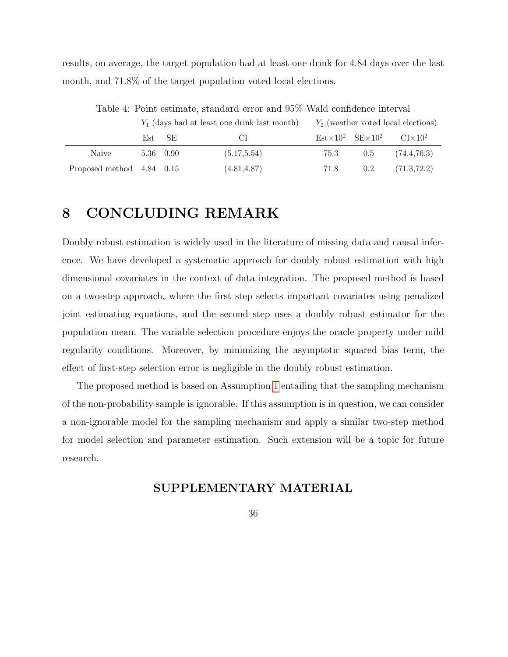results, on average, the target population had at least one drink for 4.84 days over the last month, and 71.8% of the target population voted local elections.

|                           |           | $Y_1$ (days had at least one drink last month) |              | $Y_2$ (weather voted local elections) |  |                                                                                          |  |
|---------------------------|-----------|------------------------------------------------|--------------|---------------------------------------|--|------------------------------------------------------------------------------------------|--|
|                           |           | Est SE                                         | - CI -       |                                       |  | $\text{Est} \times 10^2 \quad \text{SE} \times 10^2 \quad \text{C} \text{I} \times 10^2$ |  |
| Naive                     | 5.36 0.90 |                                                | (5.17, 5.54) | 75.3                                  |  | $0.5$ $(74.4.76.3)$                                                                      |  |
| Proposed method 4.84 0.15 |           |                                                | (4.81, 4.87) | 71.8                                  |  | $0.2$ $(71.3,72.2)$                                                                      |  |

<span id="page-35-1"></span>Table 4: Point estimate, standard error and 95% Wald confidence interval

# <span id="page-35-0"></span>8 CONCLUDING REMARK

Doubly robust estimation is widely used in the literature of missing data and causal inference. We have developed a systematic approach for doubly robust estimation with high dimensional covariates in the context of data integration. The proposed method is based on a two-step approach, where the first step selects important covariates using penalized joint estimating equations, and the second step uses a doubly robust estimator for the population mean. The variable selection procedure enjoys the oracle property under mild regularity conditions. Moreover, by minimizing the asymptotic squared bias term, the effect of first-step selection error is negligible in the doubly robust estimation.

The proposed method is based on Assumption [1](#page-6-1) entailing that the sampling mechanism of the non-probability sample is ignorable. If this assumption is in question, we can consider a non-ignorable model for the sampling mechanism and apply a similar two-step method for model selection and parameter estimation. Such extension will be a topic for future research.

### SUPPLEMENTARY MATERIAL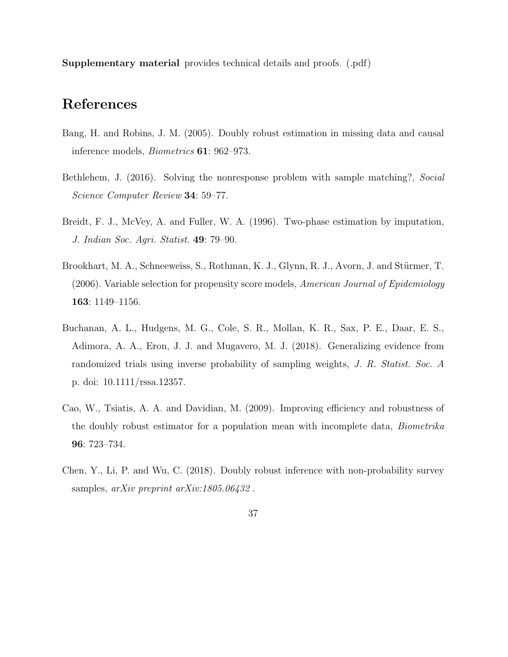Supplementary material provides technical details and proofs. (.pdf)

# References

- <span id="page-36-4"></span>Bang, H. and Robins, J. M. (2005). Doubly robust estimation in missing data and causal inference models, Biometrics 61: 962–973.
- <span id="page-36-3"></span>Bethlehem, J. (2016). Solving the nonresponse problem with sample matching?, Social Science Computer Review 34: 59–77.
- <span id="page-36-2"></span>Breidt, F. J., McVey, A. and Fuller, W. A. (1996). Two-phase estimation by imputation, J. Indian Soc. Agri. Statist. 49: 79–90.
- <span id="page-36-6"></span>Brookhart, M. A., Schneeweiss, S., Rothman, K. J., Glynn, R. J., Avorn, J. and Stürmer, T.  $(2006)$ . Variable selection for propensity score models, American Journal of Epidemiology 163: 1149–1156.
- <span id="page-36-1"></span>Buchanan, A. L., Hudgens, M. G., Cole, S. R., Mollan, K. R., Sax, P. E., Daar, E. S., Adimora, A. A., Eron, J. J. and Mugavero, M. J. (2018). Generalizing evidence from randomized trials using inverse probability of sampling weights, J. R. Statist. Soc. A p. doi: 10.1111/rssa.12357.
- <span id="page-36-5"></span>Cao, W., Tsiatis, A. A. and Davidian, M. (2009). Improving efficiency and robustness of the doubly robust estimator for a population mean with incomplete data, Biometrika 96: 723–734.
- <span id="page-36-0"></span>Chen, Y., Li, P. and Wu, C. (2018). Doubly robust inference with non-probability survey samples, *arXiv preprint arXiv:1805.06432*.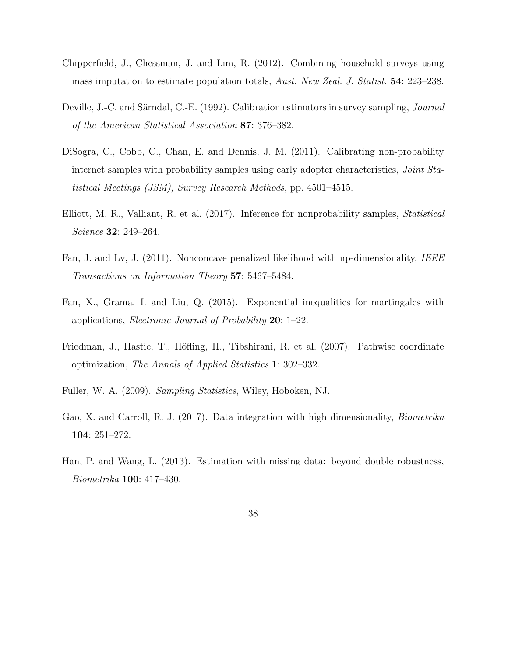- <span id="page-37-3"></span>Chipperfield, J., Chessman, J. and Lim, R. (2012). Combining household surveys using mass imputation to estimate population totals, Aust. New Zeal. J. Statist. 54: 223–238.
- <span id="page-37-1"></span>Deville, J.-C. and Särndal, C.-E. (1992). Calibration estimators in survey sampling, *Journal* of the American Statistical Association 87: 376–382.
- <span id="page-37-2"></span>DiSogra, C., Cobb, C., Chan, E. and Dennis, J. M. (2011). Calibrating non-probability internet samples with probability samples using early adopter characteristics, Joint Statistical Meetings (JSM), Survey Research Methods, pp. 4501–4515.
- <span id="page-37-0"></span>Elliott, M. R., Valliant, R. et al. (2017). Inference for nonprobability samples, Statistical Science 32: 249–264.
- <span id="page-37-7"></span>Fan, J. and Lv, J. (2011). Nonconcave penalized likelihood with np-dimensionality, IEEE Transactions on Information Theory 57: 5467–5484.
- <span id="page-37-9"></span>Fan, X., Grama, I. and Liu, Q. (2015). Exponential inequalities for martingales with applications, Electronic Journal of Probability 20: 1–22.
- <span id="page-37-8"></span>Friedman, J., Hastie, T., Höfling, H., Tibshirani, R. et al. (2007). Pathwise coordinate optimization, The Annals of Applied Statistics 1: 302–332.
- <span id="page-37-6"></span>Fuller, W. A. (2009). Sampling Statistics, Wiley, Hoboken, NJ.
- <span id="page-37-4"></span>Gao, X. and Carroll, R. J. (2017). Data integration with high dimensionality, Biometrika 104: 251–272.
- <span id="page-37-5"></span>Han, P. and Wang, L. (2013). Estimation with missing data: beyond double robustness, Biometrika 100: 417–430.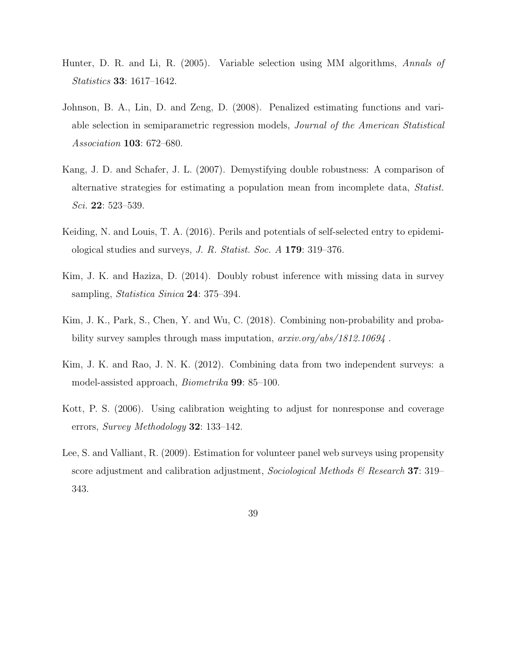- <span id="page-38-7"></span>Hunter, D. R. and Li, R. (2005). Variable selection using MM algorithms, Annals of Statistics 33: 1617–1642.
- <span id="page-38-6"></span>Johnson, B. A., Lin, D. and Zeng, D. (2008). Penalized estimating functions and variable selection in semiparametric regression models, Journal of the American Statistical Association 103: 672–680.
- <span id="page-38-2"></span>Kang, J. D. and Schafer, J. L. (2007). Demystifying double robustness: A comparison of alternative strategies for estimating a population mean from incomplete data, Statist. Sci. **22**: 523–539.
- <span id="page-38-0"></span>Keiding, N. and Louis, T. A. (2016). Perils and potentials of self-selected entry to epidemiological studies and surveys, J. R. Statist. Soc. A 179: 319–376.
- <span id="page-38-5"></span>Kim, J. K. and Haziza, D. (2014). Doubly robust inference with missing data in survey sampling, *Statistica Sinica* **24**: 375–394.
- <span id="page-38-8"></span>Kim, J. K., Park, S., Chen, Y. and Wu, C. (2018). Combining non-probability and probability survey samples through mass imputation, arxiv.org/abs/1812.10694 .
- <span id="page-38-4"></span>Kim, J. K. and Rao, J. N. K. (2012). Combining data from two independent surveys: a model-assisted approach, Biometrika 99: 85–100.
- <span id="page-38-3"></span>Kott, P. S. (2006). Using calibration weighting to adjust for nonresponse and coverage errors, Survey Methodology 32: 133–142.
- <span id="page-38-1"></span>Lee, S. and Valliant, R. (2009). Estimation for volunteer panel web surveys using propensity score adjustment and calibration adjustment, Sociological Methods  $\mathcal{B}$  Research 37: 319– 343.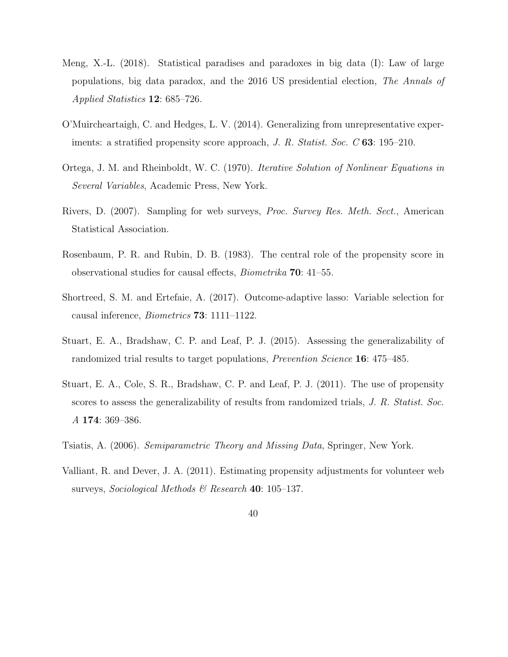- <span id="page-39-7"></span>Meng, X.-L. (2018). Statistical paradises and paradoxes in big data (I): Law of large populations, big data paradox, and the 2016 US presidential election, The Annals of Applied Statistics 12: 685–726.
- <span id="page-39-4"></span>O'Muircheartaigh, C. and Hedges, L. V. (2014). Generalizing from unrepresentative experiments: a stratified propensity score approach, J. R. Statist. Soc. C 63: 195–210.
- <span id="page-39-9"></span>Ortega, J. M. and Rheinboldt, W. C. (1970). Iterative Solution of Nonlinear Equations in Several Variables, Academic Press, New York.
- <span id="page-39-5"></span>Rivers, D. (2007). Sampling for web surveys, Proc. Survey Res. Meth. Sect., American Statistical Association.
- <span id="page-39-0"></span>Rosenbaum, P. R. and Rubin, D. B. (1983). The central role of the propensity score in observational studies for causal effects, Biometrika 70: 41–55.
- <span id="page-39-8"></span>Shortreed, S. M. and Ertefaie, A. (2017). Outcome-adaptive lasso: Variable selection for causal inference, Biometrics 73: 1111–1122.
- <span id="page-39-3"></span>Stuart, E. A., Bradshaw, C. P. and Leaf, P. J. (2015). Assessing the generalizability of randomized trial results to target populations, Prevention Science 16: 475–485.
- <span id="page-39-2"></span>Stuart, E. A., Cole, S. R., Bradshaw, C. P. and Leaf, P. J. (2011). The use of propensity scores to assess the generalizability of results from randomized trials, J. R. Statist. Soc. A 174: 369–386.
- <span id="page-39-6"></span>Tsiatis, A. (2006). Semiparametric Theory and Missing Data, Springer, New York.
- <span id="page-39-1"></span>Valliant, R. and Dever, J. A. (2011). Estimating propensity adjustments for volunteer web surveys, Sociological Methods  $\mathcal B$  Research 40: 105–137.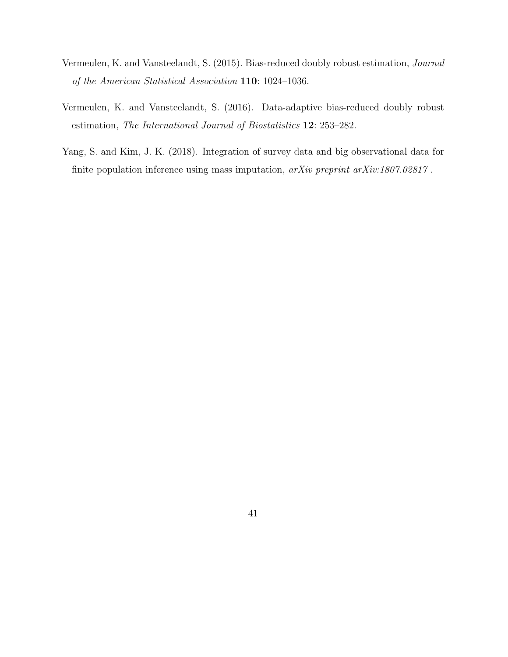- <span id="page-40-1"></span>Vermeulen, K. and Vansteelandt, S. (2015). Bias-reduced doubly robust estimation, Journal of the American Statistical Association 110: 1024–1036.
- <span id="page-40-2"></span>Vermeulen, K. and Vansteelandt, S. (2016). Data-adaptive bias-reduced doubly robust estimation, The International Journal of Biostatistics 12: 253–282.
- <span id="page-40-0"></span>Yang, S. and Kim, J. K. (2018). Integration of survey data and big observational data for finite population inference using mass imputation, arXiv preprint arXiv:1807.02817 .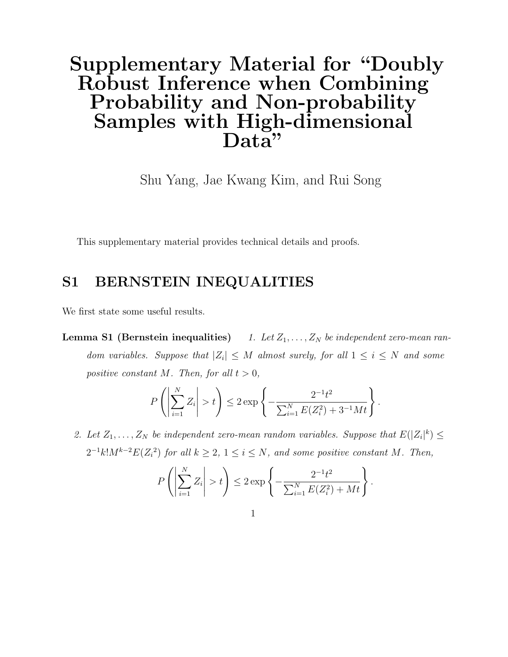# Supplementary Material for "Doubly Robust Inference when Combining Probability and Non-probability Samples with High-dimensional Data"

Shu Yang, Jae Kwang Kim, and Rui Song

This supplementary material provides technical details and proofs.

### S1 BERNSTEIN INEQUALITIES

<span id="page-41-0"></span>We first state some useful results.

**Lemma S1 (Bernstein inequalities)** 1. Let  $Z_1, \ldots, Z_N$  be independent zero-mean random variables. Suppose that  $|Z_i| \leq M$  almost surely, for all  $1 \leq i \leq N$  and some positive constant M. Then, for all  $t > 0$ ,

$$
P\left(\left|\sum_{i=1}^{N} Z_i\right| > t\right) \le 2 \exp\left\{-\frac{2^{-1}t^2}{\sum_{i=1}^{N} E(Z_i^2) + 3^{-1}Mt}\right\}.
$$

2. Let  $Z_1, \ldots, Z_N$  be independent zero-mean random variables. Suppose that  $E(|Z_i|^k) \leq$  $2^{-1}k!M^{k-2}E(Z_i^2)$  for all  $k \geq 2$ ,  $1 \leq i \leq N$ , and some positive constant M. Then,

$$
P\left(\left|\sum_{i=1}^{N} Z_i\right| > t\right) \le 2 \exp\left\{-\frac{2^{-1}t^2}{\sum_{i=1}^{N} E(Z_i^2) + Mt}\right\}
$$

.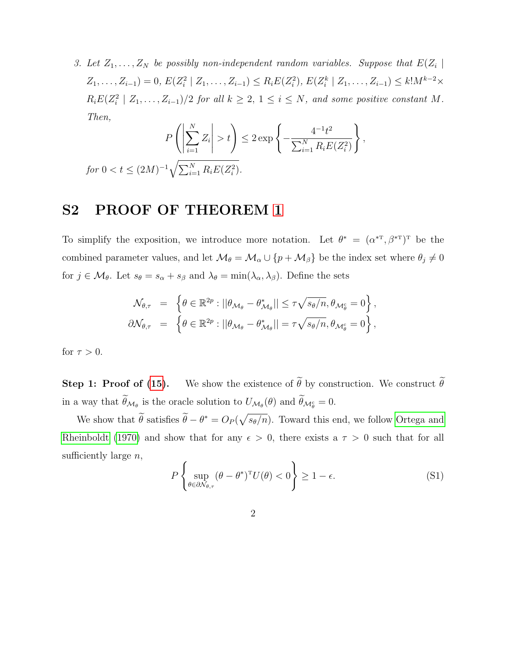3. Let  $Z_1, \ldots, Z_N$  be possibly non-independent random variables. Suppose that  $E(Z_i |$  $Z_1, \ldots, Z_{i-1}$ ) = 0,  $E(Z_i^2 | Z_1, \ldots, Z_{i-1}) \le R_i E(Z_i^2), E(Z_i^k | Z_1, \ldots, Z_{i-1}) \le k! M^{k-2} \times$  $R_i E(Z_i^2 \mid Z_1, \ldots, Z_{i-1})/2$  for all  $k \geq 2, 1 \leq i \leq N$ , and some positive constant M. Then,

$$
P\left(\left|\sum_{i=1}^{N} Z_i\right| > t\right) \le 2 \exp\left\{-\frac{4^{-1}t^2}{\sum_{i=1}^{N} R_i E(Z_i^2)}\right\},\
$$
  
for  $0 < t \le (2M)^{-1} \sqrt{\sum_{i=1}^{N} R_i E(Z_i^2)}$ .

### S2 PROOF OF THEOREM [1](#page-18-0)

To simplify the exposition, we introduce more notation. Let  $\theta^* = (\alpha^{*T}, \beta^{*T})^T$  be the combined parameter values, and let  $\mathcal{M}_{\theta} = \mathcal{M}_{\alpha} \cup \{p + \mathcal{M}_{\beta}\}$  be the index set where  $\theta_j \neq 0$ for  $j \in \mathcal{M}_{\theta}$ . Let  $s_{\theta} = s_{\alpha} + s_{\beta}$  and  $\lambda_{\theta} = \min(\lambda_{\alpha}, \lambda_{\beta})$ . Define the sets

$$
\mathcal{N}_{\theta,\tau} = \left\{ \theta \in \mathbb{R}^{2p} : ||\theta_{\mathcal{M}_{\theta}} - \theta_{\mathcal{M}_{\theta}}^*|| \leq \tau \sqrt{s_{\theta}/n}, \theta_{\mathcal{M}_{\theta}^c} = 0 \right\},\
$$
  

$$
\partial \mathcal{N}_{\theta,\tau} = \left\{ \theta \in \mathbb{R}^{2p} : ||\theta_{\mathcal{M}_{\theta}} - \theta_{\mathcal{M}_{\theta}}^*|| = \tau \sqrt{s_{\theta}/n}, \theta_{\mathcal{M}_{\theta}^c} = 0 \right\},\
$$

for  $\tau > 0$ .

**Step 1: Proof of [\(15\)](#page-19-1).** We show the existence of  $\tilde{\theta}$  by construction. We construct  $\tilde{\theta}$ in a way that  $\theta_{\mathcal{M}_{\theta}}$  is the oracle solution to  $U_{\mathcal{M}_{\theta}}(\theta)$  and  $\theta_{\mathcal{M}_{\theta}^{c}}=0$ .

We show that  $\tilde{\theta}$  satisfies  $\tilde{\theta} - \theta^* = O_P(\sqrt{s_{\theta}/n})$ . Toward this end, we follow [Ortega and](#page-39-9) [Rheinboldt](#page-39-9) [\(1970\)](#page-39-9) and show that for any  $\epsilon > 0$ , there exists a  $\tau > 0$  such that for all sufficiently large  $n$ ,

$$
P\left\{\sup_{\theta \in \partial \mathcal{N}_{\theta,\tau}} (\theta - \theta^*)^T U(\theta) < 0\right\} \ge 1 - \epsilon. \tag{S1}
$$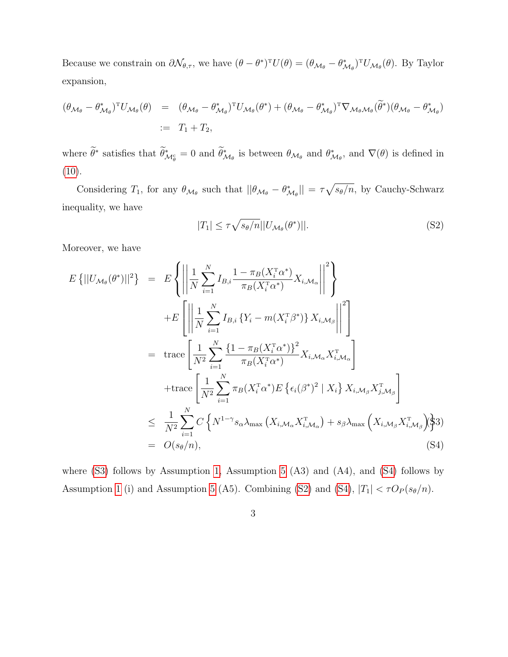Because we constrain on  $\partial \mathcal{N}_{\theta,\tau}$ , we have  $(\theta - \theta^*)^T U(\theta) = (\theta_{\mathcal{M}_{\theta}} - \theta_{\mathcal{M}_{\theta}}^*)^T U_{\mathcal{M}_{\theta}}(\theta)$ . By Taylor expansion,

$$
(\theta_{\mathcal{M}_{\theta}} - \theta_{\mathcal{M}_{\theta}}^{*})^{\mathrm{T}} U_{\mathcal{M}_{\theta}}(\theta) = (\theta_{\mathcal{M}_{\theta}} - \theta_{\mathcal{M}_{\theta}}^{*})^{\mathrm{T}} U_{\mathcal{M}_{\theta}}(\theta^{*}) + (\theta_{\mathcal{M}_{\theta}} - \theta_{\mathcal{M}_{\theta}}^{*})^{\mathrm{T}} \nabla_{\mathcal{M}_{\theta} \mathcal{M}_{\theta}}(\widetilde{\theta}^{*}) (\theta_{\mathcal{M}_{\theta}} - \theta_{\mathcal{M}_{\theta}}^{*})
$$
  
 :=  $T_{1} + T_{2}$ ,

where  $\hat{\theta}^*$  satisfies that  $\hat{\theta}_{\mathcal{M}_{\theta}}^* = 0$  and  $\hat{\theta}_{\mathcal{M}_{\theta}}^*$  is between  $\theta_{\mathcal{M}_{\theta}}$  and  $\theta_{\mathcal{M}_{\theta}}^*$ , and  $\nabla(\theta)$  is defined in  $(10).$  $(10).$ 

Considering  $T_1$ , for any  $\theta_{\mathcal{M}_{\theta}}$  such that  $||\theta_{\mathcal{M}_{\theta}} - \theta_{\mathcal{M}_{\theta}}^*|| = \tau \sqrt{s_{\theta}/n}$ , by Cauchy-Schwarz inequality, we have

$$
|T_1| \le \tau \sqrt{s_{\theta}/n} ||U_{\mathcal{M}_{\theta}}(\theta^*)||. \tag{S2}
$$

Moreover, we have

$$
E\left\{||U_{\mathcal{M}_{\theta}}(\theta^{*})||^{2}\right\} = E\left\{ \left|\left|\frac{1}{N}\sum_{i=1}^{N} I_{B,i} \frac{1-\pi_{B}(X_{i}^{T}\alpha^{*})}{\pi_{B}(X_{i}^{T}\alpha^{*})} X_{i,\mathcal{M}_{\alpha}}\right|\right|^{2}\right\}
$$
  
+
$$
E\left[\left|\left|\frac{1}{N}\sum_{i=1}^{N} I_{B,i} \left\{Y_{i} - m(X_{i}^{T}\beta^{*})\right\} X_{i,\mathcal{M}_{\beta}}\right|\right|^{2}\right]
$$
  
= trace  $\left[\frac{1}{N^{2}}\sum_{i=1}^{N} \frac{\left\{1 - \pi_{B}(X_{i}^{T}\alpha^{*})\right\}^{2}}{\pi_{B}(X_{i}^{T}\alpha^{*})} X_{i,\mathcal{M}_{\alpha}} X_{i,\mathcal{M}_{\alpha}}^{T}\right]$   
+trace  $\left[\frac{1}{N^{2}}\sum_{i=1}^{N} \pi_{B}(X_{i}^{T}\alpha^{*}) E\left\{\epsilon_{i}(\beta^{*})^{2} | X_{i}\right\} X_{i,\mathcal{M}_{\beta}} X_{j,\mathcal{M}_{\beta}}^{T}\right]$   
 $\leq \frac{1}{N^{2}}\sum_{i=1}^{N} C\left\{N^{1-\gamma} s_{\alpha} \lambda_{\max}\left(X_{i,\mathcal{M}_{\alpha}} X_{i,\mathcal{M}_{\alpha}}^{T}\right) + s_{\beta} \lambda_{\max}\left(X_{i,\mathcal{M}_{\beta}} X_{i,\mathcal{M}_{\beta}}^{T}\right)\right\}$   
=  $O(s_{\theta}/n),$  (S4)

where  $(S3)$  follows by Assumption [1,](#page-6-1) Assumption [5](#page-17-0)  $(A3)$  and  $(A4)$ , and  $(S4)$  follows by Assumption [1](#page-6-1) (i) and Assumption [5](#page-17-0) (A5). Combining [\(S2\)](#page-8-1) and [\(S4\)](#page-8-0),  $|T_1| < \tau O_P(s_\theta/n)$ .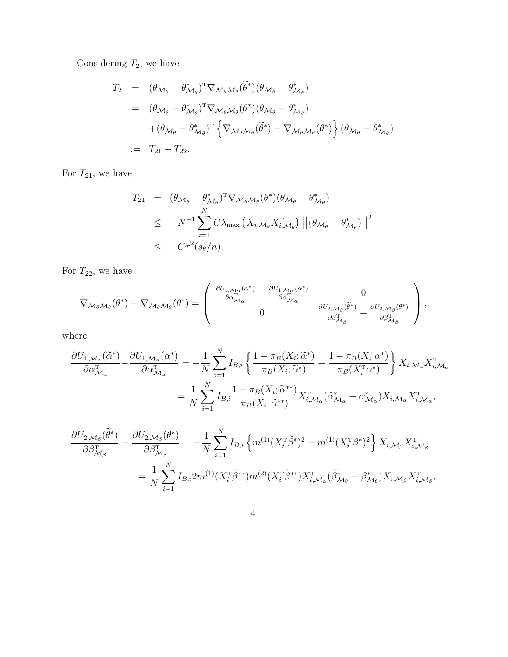Considering  $T_2$ , we have

$$
T_2 = (\theta_{\mathcal{M}_{\theta}} - \theta_{\mathcal{M}_{\theta}}^*)^T \nabla_{\mathcal{M}_{\theta} \mathcal{M}_{\theta}} (\widetilde{\theta}^*) (\theta_{\mathcal{M}_{\theta}} - \theta_{\mathcal{M}_{\theta}}^*)
$$
  
\n
$$
= (\theta_{\mathcal{M}_{\theta}} - \theta_{\mathcal{M}_{\theta}}^*)^T \nabla_{\mathcal{M}_{\theta} \mathcal{M}_{\theta}} (\theta^*) (\theta_{\mathcal{M}_{\theta}} - \theta_{\mathcal{M}_{\theta}}^*)
$$
  
\n
$$
+ (\theta_{\mathcal{M}_{\theta}} - \theta_{\mathcal{M}_{\theta}}^*)^T \left\{ \nabla_{\mathcal{M}_{\theta} \mathcal{M}_{\theta}} (\widetilde{\theta}^*) - \nabla_{\mathcal{M}_{\theta} \mathcal{M}_{\theta}} (\theta^*) \right\} (\theta_{\mathcal{M}_{\theta}} - \theta_{\mathcal{M}_{\theta}}^*)
$$
  
\n:=  $T_{21} + T_{22}$ .

For  $T_{21}$ , we have

$$
T_{21} = (\theta_{\mathcal{M}_{\theta}} - \theta_{\mathcal{M}_{\theta}}^{*})^{\mathrm{T}} \nabla_{\mathcal{M}_{\theta} \mathcal{M}_{\theta}} (\theta^{*}) (\theta_{\mathcal{M}_{\theta}} - \theta_{\mathcal{M}_{\theta}}^{*})
$$
  
\n
$$
\leq -N^{-1} \sum_{i=1}^{N} C \lambda_{\max} (X_{i, \mathcal{M}_{\theta}} X_{i, \mathcal{M}_{\theta}}^{\mathrm{T}}) ||(\theta_{\mathcal{M}_{\theta}} - \theta_{\mathcal{M}_{\theta}}^{*})||^{2}
$$
  
\n
$$
\leq -C \tau^{2} (s_{\theta}/n).
$$

For  $T_{22}$ , we have

$$
\nabla_{\mathcal{M}_{\theta} \mathcal{M}_{\theta}}(\widetilde{\theta}^*) - \nabla_{\mathcal{M}_{\theta} \mathcal{M}_{\theta}}(\theta^*) = \left( \begin{array}{cc} \frac{\partial U_{1, \mathcal{M}_{\alpha}}(\widetilde{\alpha}^*)}{\partial \alpha_{\mathcal{M}_{\alpha}}^{\mathrm{T}}} - \frac{\partial U_{1, \mathcal{M}_{\alpha}}(\alpha^*)}{\partial \alpha_{\mathcal{M}_{\alpha}}^{\mathrm{T}}} & 0 \\ 0 & \frac{\partial U_{2, \mathcal{M}_{\beta}}(\widetilde{\theta}^*)}{\partial \beta_{\mathcal{M}_{\beta}}^{\mathrm{T}}} - \frac{\partial U_{2, \mathcal{M}_{\beta}}(\theta^*)}{\partial \beta_{\mathcal{M}_{\beta}}^{\mathrm{T}}} \end{array} \right),
$$

where

$$
\frac{\partial U_{1,\mathcal{M}_{\alpha}}(\tilde{\alpha}^{*})}{\partial \alpha_{\mathcal{M}_{\alpha}}^{T}} - \frac{\partial U_{1,\mathcal{M}_{\alpha}}(\alpha^{*})}{\partial \alpha_{\mathcal{M}_{\alpha}}^{T}} = -\frac{1}{N} \sum_{i=1}^{N} I_{B,i} \left\{ \frac{1 - \pi_{B}(X_{i}; \tilde{\alpha}^{*})}{\pi_{B}(X_{i}; \tilde{\alpha}^{*})} - \frac{1 - \pi_{B}(X_{i}^{T}\alpha^{*})}{\pi_{B}(X_{i}^{T}\alpha^{*})} \right\} X_{i,\mathcal{M}_{\alpha}} X_{i,\mathcal{M}_{\alpha}}^{T}
$$

$$
= \frac{1}{N} \sum_{i=1}^{N} I_{B,i} \frac{1 - \pi_{B}(X_{i}; \tilde{\alpha}^{**})}{\pi_{B}(X_{i}; \tilde{\alpha}^{**})} X_{i,\mathcal{M}_{\alpha}}^{T}(\tilde{\alpha}_{\mathcal{M}_{\alpha}}^{*} - \alpha_{\mathcal{M}_{\alpha}}^{*}) X_{i,\mathcal{M}_{\alpha}} X_{i,\mathcal{M}_{\alpha}}^{T},
$$

$$
\frac{\partial U_{2,\mathcal{M}_{\beta}}(\tilde{\theta}^{*})}{\partial \beta_{\mathcal{M}_{\beta}}^{T}} - \frac{\partial U_{2,\mathcal{M}_{\beta}}(\theta^{*})}{\partial \beta_{\mathcal{M}_{\beta}}^{T}} = -\frac{1}{N} \sum_{i=1}^{N} I_{B,i} \left\{ m^{(1)} (X_{i}^{T} \tilde{\beta}^{*})^{2} - m^{(1)} (X_{i}^{T} \beta^{*})^{2} \right\} X_{i,\mathcal{M}_{\beta}} X_{i,\mathcal{M}_{\beta}}^{T}
$$

$$
= \frac{1}{N} \sum_{i=1}^{N} I_{B,i} 2m^{(1)} (X_{i}^{T} \tilde{\beta}^{**}) m^{(2)} (X_{i}^{T} \tilde{\beta}^{**}) X_{i,\mathcal{M}_{\alpha}}^{T} (\tilde{\beta}_{\mathcal{M}_{\theta}}^{*} - \beta_{\mathcal{M}_{\theta}}^{*}) X_{i,\mathcal{M}_{\beta}} X_{i,\mathcal{M}_{\beta}}^{T},
$$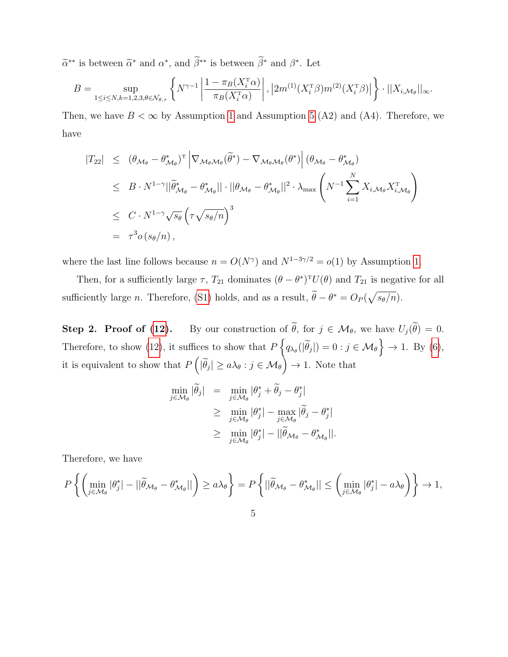$\tilde{\alpha}^{**}$  is between  $\tilde{\alpha}^*$  and  $\alpha^*$ , and  $\beta^{**}$  is between  $\beta^*$  and  $\beta^*$ . Let

$$
B = \sup_{1 \leq i \leq N, k=1,2,3,\theta \in \mathcal{N}_{\theta,\tau}} \left\{ N^{\gamma-1} \left| \frac{1 - \pi_B(X_i^{\tau}\alpha)}{\pi_B(X_i^{\tau}\alpha)} \right|, \left| 2m^{(1)}(X_i^{\tau}\beta)m^{(2)}(X_i^{\tau}\beta) \right| \right\} \cdot ||X_{i,\mathcal{M}_{\theta}}||_{\infty}.
$$

Then, we have  $B < \infty$  by Assumption [1](#page-6-1) and Assumption [5](#page-17-0) (A2) and (A4). Therefore, we have

$$
\begin{split}\n|T_{22}| &\leq (\theta_{\mathcal{M}_{\theta}} - \theta_{\mathcal{M}_{\theta}}^{*})^{\mathrm{T}} \left| \nabla_{\mathcal{M}_{\theta}\mathcal{M}_{\theta}}(\widetilde{\theta}^{*}) - \nabla_{\mathcal{M}_{\theta}\mathcal{M}_{\theta}}(\theta^{*}) \right| (\theta_{\mathcal{M}_{\theta}} - \theta_{\mathcal{M}_{\theta}}^{*}) \\
&\leq B \cdot N^{1-\gamma} ||\widetilde{\theta}_{\mathcal{M}_{\theta}}^{*} - \theta_{\mathcal{M}_{\theta}}^{*} || \cdot ||\theta_{\mathcal{M}_{\theta}} - \theta_{\mathcal{M}_{\theta}}^{*} ||^{2} \cdot \lambda_{\max} \left( N^{-1} \sum_{i=1}^{N} X_{i,\mathcal{M}_{\theta}} X_{i,\mathcal{M}_{\theta}}^{T} \right) \\
&\leq C \cdot N^{1-\gamma} \sqrt{s_{\theta}} \left( \tau \sqrt{s_{\theta}/n} \right)^{3} \\
&= \tau^{3} o(s_{\theta}/n),\n\end{split}
$$

where the last line follows because  $n = O(N^{\gamma})$  and  $N^{1-3\gamma/2} = o(1)$  by Assumption [1.](#page-6-1)

Then, for a sufficiently large  $\tau$ ,  $T_{21}$  dominates  $(\theta - \theta^*)^T U(\theta)$  and  $T_{21}$  is negative for all sufficiently large *n*. Therefore, [\(S1\)](#page-8-2) holds, and as a result,  $\hat{\theta} - \theta^* = O_P(\sqrt{s_{\theta}/n})$ .

**Step 2. Proof of [\(12\)](#page-19-0).** By our construction of  $\tilde{\theta}$ , for  $j \in \mathcal{M}_{\theta}$ , we have  $U_j(\tilde{\theta}) = 0$ . Therefore, to show [\(12\)](#page-19-0), it suffices to show that  $P\left\{q_{\lambda_{\theta}}(|\tilde{\theta}_j|)=0 : j \in \mathcal{M}_{\theta}\right\} \to 1$ . By [\(6\)](#page-11-1), it is equivalent to show that  $P\left(|\tilde{\theta}_j| \ge a\lambda_{\theta} : j \in \mathcal{M}_{\theta}\right) \to 1$ . Note that

$$
\min_{j \in \mathcal{M}_{\theta}} |\widetilde{\theta}_{j}| = \min_{j \in \mathcal{M}_{\theta}} |\theta_{j}^{*} + \widetilde{\theta}_{j} - \theta_{j}^{*}|
$$
\n
$$
\geq \min_{j \in \mathcal{M}_{\theta}} |\theta_{j}^{*}| - \max_{j \in \mathcal{M}_{\theta}} |\widetilde{\theta}_{j} - \theta_{j}^{*}|
$$
\n
$$
\geq \min_{j \in \mathcal{M}_{\theta}} |\theta_{j}^{*}| - ||\widetilde{\theta}_{\mathcal{M}_{\theta}} - \theta_{\mathcal{M}_{\theta}}^{*}||.
$$

Therefore, we have

$$
P\left\{ \left( \min_{j\in\mathcal{M}_{\theta}} |\theta_{j}^{*}| - ||\widetilde{\theta}_{\mathcal{M}_{\theta}} - \theta_{\mathcal{M}_{\theta}}^{*}|| \right) \ge a\lambda_{\theta} \right\} = P\left\{ ||\widetilde{\theta}_{\mathcal{M}_{\theta}} - \theta_{\mathcal{M}_{\theta}}^{*}|| \le \left( \min_{j\in\mathcal{M}_{\theta}} |\theta_{j}^{*}| - a\lambda_{\theta} \right) \right\} \to 1,
$$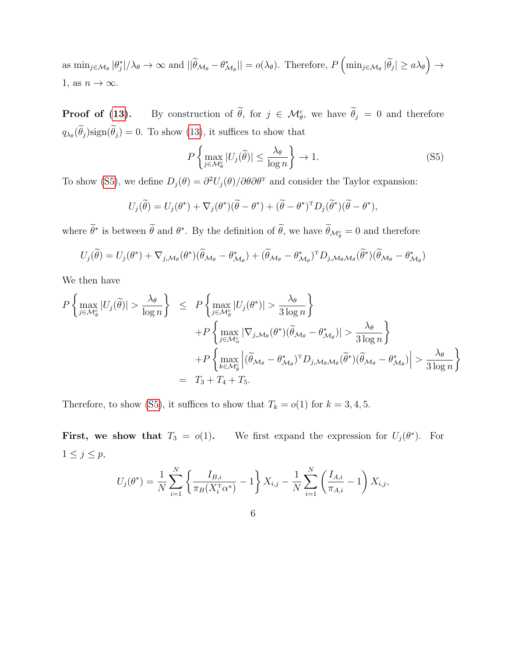as  $\min_{j \in \mathcal{M}_{\theta}} |\theta_{j}^{*}|/\lambda_{\theta} \to \infty$  and  $||\widetilde{\theta}_{\mathcal{M}_{\theta}} - \theta_{\mathcal{M}_{\theta}}^{*}|| = o(\lambda_{\theta})$ . Therefore,  $P\left(\min_{j \in \mathcal{M}_{\theta}} |\widetilde{\theta}_{j}| \ge a \lambda_{\theta}\right) \to$ 1, as  $n \to \infty$ .

**Proof of [\(13\)](#page-19-0).** By construction of  $\hat{\theta}$ , for  $j \in \mathcal{M}_{\theta}^c$ , we have  $\hat{\theta}_j = 0$  and therefore  $q_{\lambda_{\theta}}(\theta_j)$ sign $(\theta_j) = 0$ . To show [\(13\)](#page-19-0), it suffices to show that

<span id="page-46-0"></span>
$$
P\left\{\max_{j\in\mathcal{M}_{\theta}^{c}}|U_{j}(\widetilde{\theta})|\leq\frac{\lambda_{\theta}}{\log n}\right\}\to 1.
$$
\n(S5)

To show [\(S5\)](#page-46-0), we define  $D_j(\theta) = \frac{\partial^2 U_j(\theta)}{\partial \theta \partial \theta^T}$  and consider the Taylor expansion:

$$
U_j(\widetilde{\theta}) = U_j(\theta^*) + \nabla_j(\theta^*) (\widetilde{\theta} - \theta^*) + (\widetilde{\theta} - \theta^*)^T D_j(\widetilde{\theta}^*) (\widetilde{\theta} - \theta^*),
$$

where  $\theta^*$  is between  $\theta$  and  $\theta^*$ . By the definition of  $\theta$ , we have  $\theta_{\mathcal{M}_{\theta}^c} = 0$  and therefore

$$
U_j(\widetilde{\theta}) = U_j(\theta^*) + \nabla_{j,\mathcal{M}_{\theta}}(\theta^*) (\widetilde{\theta}_{\mathcal{M}_{\theta}} - \theta^*_{\mathcal{M}_{\theta}}) + (\widetilde{\theta}_{\mathcal{M}_{\theta}} - \theta^*_{\mathcal{M}_{\theta}})^T D_{j,\mathcal{M}_{\theta}\mathcal{M}_{\theta}} (\widetilde{\theta}^*) (\widetilde{\theta}_{\mathcal{M}_{\theta}} - \theta^*_{\mathcal{M}_{\theta}})
$$

We then have

$$
P\left\{\max_{j\in\mathcal{M}_{\theta}^{c}}|U_{j}(\widetilde{\theta})| > \frac{\lambda_{\theta}}{\log n}\right\} \leq P\left\{\max_{j\in\mathcal{M}_{\theta}^{c}}|U_{j}(\theta^{*})| > \frac{\lambda_{\theta}}{3\log n}\right\} + P\left\{\max_{j\in\mathcal{M}_{\alpha}^{c}}|\nabla_{j,\mathcal{M}_{\theta}}(\theta^{*})(\widetilde{\theta}_{\mathcal{M}_{\theta}} - \theta^{*}_{\mathcal{M}_{\theta}})| > \frac{\lambda_{\theta}}{3\log n}\right\} + P\left\{\max_{k\in\mathcal{M}_{\theta}^{c}}|\left(\widetilde{\theta}_{\mathcal{M}_{\theta}} - \theta^{*}_{\mathcal{M}_{\theta}})^{T}D_{j,\mathcal{M}_{\theta}\mathcal{M}_{\theta}}(\widetilde{\theta}^{*})(\widetilde{\theta}_{\mathcal{M}_{\theta}} - \theta^{*}_{\mathcal{M}_{\theta}})\right| > \frac{\lambda_{\theta}}{3\log n}\right\} = T_{3} + T_{4} + T_{5}.
$$

Therefore, to show [\(S5\)](#page-46-0), it suffices to show that  $T_k = o(1)$  for  $k = 3, 4, 5$ .

First, we show that  $T_3 = o(1)$ . We first expand the expression for  $U_j(\theta^*)$ . For  $1 \leq j \leq p$ ,

$$
U_j(\theta^*) = \frac{1}{N} \sum_{i=1}^N \left\{ \frac{I_{B,i}}{\pi_B(X_i^{\mathrm{T}} \alpha^*)} - 1 \right\} X_{i,j} - \frac{1}{N} \sum_{i=1}^N \left( \frac{I_{A,i}}{\pi_{A,i}} - 1 \right) X_{i,j},
$$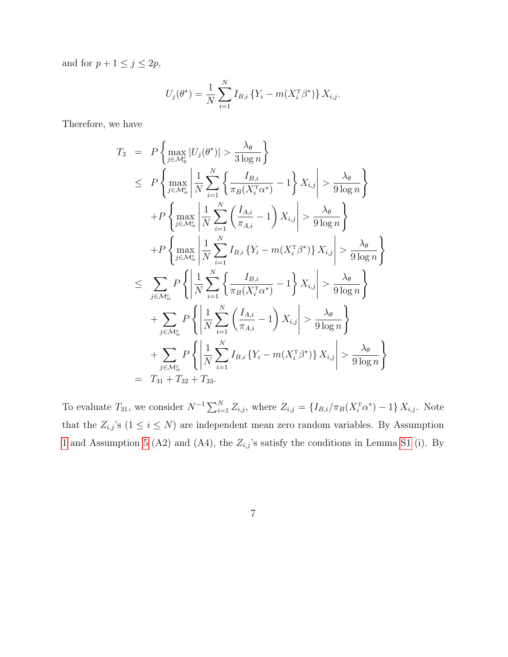and for  $p + 1 \leq j \leq 2p$ ,

$$
U_j(\theta^*) = \frac{1}{N} \sum_{i=1}^N I_{B,i} \{ Y_i - m(X_i^{\mathrm{T}} \beta^*) \} X_{i,j}.
$$

Therefore, we have

$$
T_3 = P\left\{\max_{j \in \mathcal{M}_\theta^c} |U_j(\theta^*)| > \frac{\lambda_\theta}{3 \log n}\right\}
$$
  
\n
$$
\leq P\left\{\max_{j \in \mathcal{M}_\alpha^c} \left| \frac{1}{N} \sum_{i=1}^N \left\{ \frac{I_{B,i}}{\pi_B(X_i^{\mathrm{T}} \alpha^*)} - 1 \right\} X_{i,j} \right| > \frac{\lambda_\theta}{9 \log n}\right\}
$$
  
\n
$$
+ P\left\{\max_{j \in \mathcal{M}_\alpha^c} \left| \frac{1}{N} \sum_{i=1}^N \left( \frac{I_{A,i}}{\pi_{A,i}} - 1 \right) X_{i,j} \right| > \frac{\lambda_\theta}{9 \log n}\right\}
$$
  
\n
$$
+ P\left\{\max_{j \in \mathcal{M}_\alpha^c} \left| \frac{1}{N} \sum_{i=1}^N I_{B,i} \left\{ Y_i - m(X_i^{\mathrm{T}} \beta^*) \right\} X_{i,j} \right| > \frac{\lambda_\theta}{9 \log n}\right\}
$$
  
\n
$$
\leq \sum_{j \in \mathcal{M}_\alpha^c} P\left\{ \left| \frac{1}{N} \sum_{i=1}^N \left\{ \frac{I_{B,i}}{\pi_B(X_i^{\mathrm{T}} \alpha^*)} - 1 \right\} X_{i,j} \right| > \frac{\lambda_\theta}{9 \log n}\right\}
$$
  
\n
$$
+ \sum_{j \in \mathcal{M}_\alpha^c} P\left\{ \left| \frac{1}{N} \sum_{i=1}^N \left( \frac{I_{A,i}}{\pi_{A,i}} - 1 \right) X_{i,j} \right| > \frac{\lambda_\theta}{9 \log n}\right\}
$$
  
\n
$$
+ \sum_{j \in \mathcal{M}_\alpha^c} P\left\{ \left| \frac{1}{N} \sum_{i=1}^N I_{B,i} \left\{ Y_i - m(X_i^{\mathrm{T}} \beta^*) \right\} X_{i,j} \right| > \frac{\lambda_\theta}{9 \log n}\right\}
$$
  
\n
$$
= T_{31} + T_{32} + T_{33}.
$$

To evaluate  $T_{31}$ , we consider  $N^{-1}\sum_{i=1}^{N}Z_{i,j}$ , where  $Z_{i,j} = \{I_{B,i}/\pi_B(X_i^{\text{T}}\alpha^*)-1\}X_{i,j}$ . Note that the  $Z_{i,j}$ 's  $(1 \leq i \leq N)$  are independent mean zero random variables. By Assumption [1](#page-6-1) and Assumption [5](#page-17-0) (A2) and (A4), the  $Z_{i,j}$ 's satisfy the conditions in Lemma [S1](#page-41-0) (i). By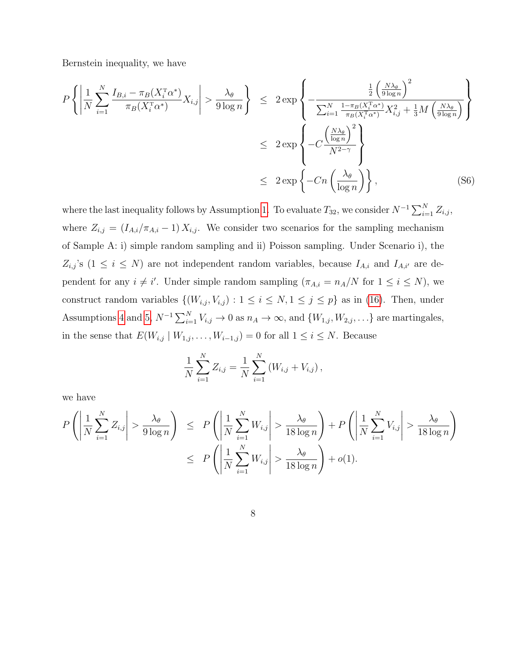Bernstein inequality, we have

<span id="page-48-0"></span>
$$
P\left\{\left|\frac{1}{N}\sum_{i=1}^{N}\frac{I_{B,i} - \pi_B(X_i^{\mathrm{T}}\alpha^*)}{\pi_B(X_i^{\mathrm{T}}\alpha^*)}X_{i,j}\right| > \frac{\lambda_{\theta}}{9\log n}\right\} \leq 2\exp\left\{-\frac{\frac{1}{2}\left(\frac{N\lambda_{\theta}}{9\log n}\right)^2}{\sum_{i=1}^{N}\frac{1-\pi_B(X_i^{\mathrm{T}}\alpha^*)}{\pi_B(X_i^{\mathrm{T}}\alpha^*)}X_{i,j}^2 + \frac{1}{3}M\left(\frac{N\lambda_{\theta}}{9\log n}\right)}\right\}
$$
  

$$
\leq 2\exp\left\{-Cn\left(\frac{N\lambda_{\theta}}{\log n}\right)^2\right\}
$$
  

$$
\leq 2\exp\left\{-Cn\left(\frac{\lambda_{\theta}}{\log n}\right)\right\},\tag{S6}
$$

where the last inequality follows by Assumption [1.](#page-6-1) To evaluate  $T_{32}$ , we consider  $N^{-1}\sum_{i=1}^{N} Z_{i,j}$ , where  $Z_{i,j} = (I_{A,i}/\pi_{A,i} - 1) X_{i,j}$ . We consider two scenarios for the sampling mechanism of Sample A: i) simple random sampling and ii) Poisson sampling. Under Scenario i), the  $Z_{i,j}$ 's (1  $\leq i \leq N$ ) are not independent random variables, because  $I_{A,i}$  and  $I_{A,i'}$  are dependent for any  $i \neq i'$ . Under simple random sampling  $(\pi_{A,i} = n_A/N$  for  $1 \leq i \leq N)$ , we construct random variables  $\{(W_{i,j}, V_{i,j}) : 1 \le i \le N, 1 \le j \le p\}$  as in [\(16\)](#page-20-1). Then, under Assumptions [4](#page-16-1) and [5,](#page-17-0)  $N^{-1} \sum_{i=1}^{N} V_{i,j} \to 0$  as  $n_A \to \infty$ , and  $\{W_{1,j}, W_{2,j}, \ldots\}$  are martingales, in the sense that  $E(W_{i,j} | W_{1,j},..., W_{i-1,j}) = 0$  for all  $1 \le i \le N$ . Because

$$
\frac{1}{N} \sum_{i=1}^{N} Z_{i,j} = \frac{1}{N} \sum_{i=1}^{N} (W_{i,j} + V_{i,j}),
$$

we have

$$
P\left(\left|\frac{1}{N}\sum_{i=1}^{N}Z_{i,j}\right| > \frac{\lambda_{\theta}}{9\log n}\right) \le P\left(\left|\frac{1}{N}\sum_{i=1}^{N}W_{i,j}\right| > \frac{\lambda_{\theta}}{18\log n}\right) + P\left(\left|\frac{1}{N}\sum_{i=1}^{N}V_{i,j}\right| > \frac{\lambda_{\theta}}{18\log n}\right)
$$

$$
\le P\left(\left|\frac{1}{N}\sum_{i=1}^{N}W_{i,j}\right| > \frac{\lambda_{\theta}}{18\log n}\right) + o(1).
$$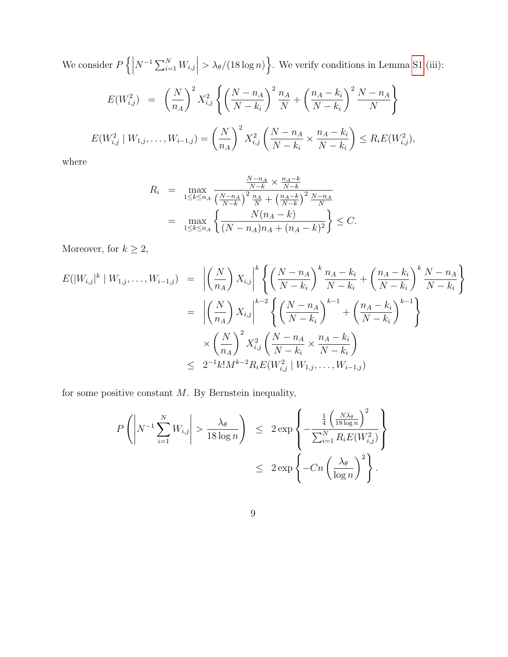We consider  $P\left\{ \right\}$  $N^{-1} \sum_{i=1}^{N} W_{i,j}$  $> \lambda_{\theta}/(18 \log n)$ . We verify conditions in Lemma [S1](#page-41-0) (iii):

$$
E(W_{i,j}^2) = \left(\frac{N}{n_A}\right)^2 X_{i,j}^2 \left\{ \left(\frac{N-n_A}{N-k_i}\right)^2 \frac{n_A}{N} + \left(\frac{n_A - k_i}{N-k_i}\right)^2 \frac{N-n_A}{N} \right\}
$$
  

$$
E(W_{i,j}^2 \mid W_{1,j}, \dots, W_{i-1,j}) = \left(\frac{N}{n_A}\right)^2 X_{i,j}^2 \left(\frac{N-n_A}{N-k_i} \times \frac{n_A - k_i}{N-k_i}\right) \le R_i E(W_{i,j}^2),
$$

where

$$
R_{i} = \max_{1 \leq k \leq n_{A}} \frac{\frac{N - n_{A}}{N - k} \times \frac{n_{A} - k}{N - k}}{\left(\frac{N - n_{A}}{N - k}\right)^{2} \frac{n_{A}}{N} + \left(\frac{n_{A} - k}{N - k}\right)^{2} \frac{N - n_{A}}{N}} = \max_{1 \leq k \leq n_{A}} \left\{ \frac{N(n_{A} - k)}{(N - n_{A})n_{A} + (n_{A} - k)^{2}} \right\} \leq C.
$$

Moreover, for  $k\geq 2,$ 

$$
E(|W_{i,j}|^{k} | W_{1,j},...,W_{i-1,j}) = \left| \left(\frac{N}{n_A}\right) X_{i,j} \right|^{k} \left\{ \left(\frac{N-n_A}{N-k_i}\right)^{k} \frac{n_A - k_i}{N-k_i} + \left(\frac{n_A - k_i}{N-k_i}\right)^{k} \frac{N-n_A}{N-k_i} \right\}
$$
  

$$
= \left| \left(\frac{N}{n_A}\right) X_{i,j} \right|^{k-2} \left\{ \left(\frac{N-n_A}{N-k_i}\right)^{k-1} + \left(\frac{n_A - k_i}{N-k_i}\right)^{k-1} \right\}
$$
  

$$
\times \left(\frac{N}{n_A}\right)^2 X_{i,j}^2 \left(\frac{N-n_A}{N-k_i} \times \frac{n_A - k_i}{N-k_i}\right)
$$
  

$$
\leq 2^{-1} k! M^{k-2} R_i E(W_{i,j}^2 | W_{1,j},...,W_{i-1,j})
$$

for some positive constant  $M$ . By Bernstein inequality,

$$
P\left(\left|N^{-1}\sum_{i=1}^{N}W_{i,j}\right| > \frac{\lambda_{\theta}}{18\log n}\right) \leq 2\exp\left\{-\frac{\frac{1}{4}\left(\frac{N\lambda_{\theta}}{18\log n}\right)^{2}}{\sum_{i=1}^{N}R_{i}E(W_{i,j}^{2})}\right\}
$$

$$
\leq 2\exp\left\{-Cn\left(\frac{\lambda_{\theta}}{\log n}\right)^{2}\right\}.
$$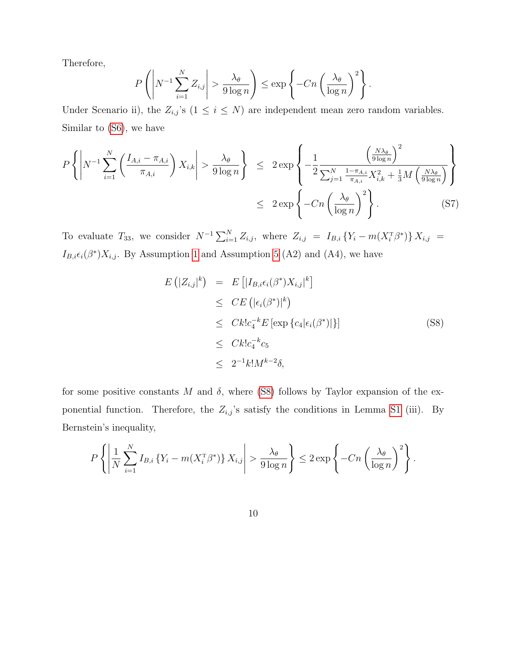Therefore,

$$
P\left(\left|N^{-1}\sum_{i=1}^N Z_{i,j}\right| > \frac{\lambda_{\theta}}{9\log n}\right) \le \exp\left\{-Cn\left(\frac{\lambda_{\theta}}{\log n}\right)^2\right\}.
$$

Under Scenario ii), the  $Z_{i,j}$ 's  $(1 \leq i \leq N)$  are independent mean zero random variables. Similar to [\(S6\)](#page-48-0), we have

$$
P\left\{ \left| N^{-1} \sum_{i=1}^{N} \left( \frac{I_{A,i} - \pi_{A,i}}{\pi_{A,i}} \right) X_{i,k} \right| > \frac{\lambda_{\theta}}{9 \log n} \right\} \leq 2 \exp\left\{ -\frac{1}{2} \frac{\left( \frac{N\lambda_{\theta}}{9 \log n} \right)^2}{\sum_{j=1}^{N} \frac{1 - \pi_{A,i}}{\pi_{A,i}} X_{i,k}^2 + \frac{1}{3} M \left( \frac{N\lambda_{\theta}}{9 \log n} \right)} \right\}
$$
  

$$
\leq 2 \exp\left\{ -Cn \left( \frac{\lambda_{\theta}}{\log n} \right)^2 \right\}.
$$
 (S7)

To evaluate  $T_{33}$ , we consider  $N^{-1} \sum_{i=1}^{N} Z_{i,j}$ , where  $Z_{i,j} = I_{B,i} \{ Y_i - m(X_i^{\text{T}} \beta^*) \} X_{i,j} =$  $I_{B,i}\epsilon_i(\beta^*)X_{i,j}$ . By Assumption [1](#page-6-1) and Assumption [5](#page-17-0) (A2) and (A4), we have

<span id="page-50-0"></span>
$$
E(|Z_{i,j}|^k) = E[|I_{B,i}\epsilon_i(\beta^*)X_{i,j}|^k]
$$
  
\n
$$
\leq CE(|\epsilon_i(\beta^*)|^k)
$$
  
\n
$$
\leq Ck!c_4^{-k}E[\exp{\{c_4|\epsilon_i(\beta^*)|\}}]
$$
  
\n
$$
\leq Ck!c_4^{-k}c_5
$$
  
\n
$$
\leq 2^{-1}k!M^{k-2}\delta,
$$
\n(S8)

for some positive constants M and  $\delta$ , where [\(S8\)](#page-50-0) follows by Taylor expansion of the exponential function. Therefore, the  $Z_{i,j}$ 's satisfy the conditions in Lemma [S1](#page-41-0) (iii). By Bernstein's inequality,

$$
P\left\{ \left| \frac{1}{N} \sum_{i=1}^{N} I_{B,i} \left\{ Y_i - m(X_i^{\mathrm{T}} \beta^*) \right\} X_{i,j} \right| > \frac{\lambda_{\theta}}{9 \log n} \right\} \leq 2 \exp \left\{ -Cn \left( \frac{\lambda_{\theta}}{\log n} \right)^2 \right\}.
$$

10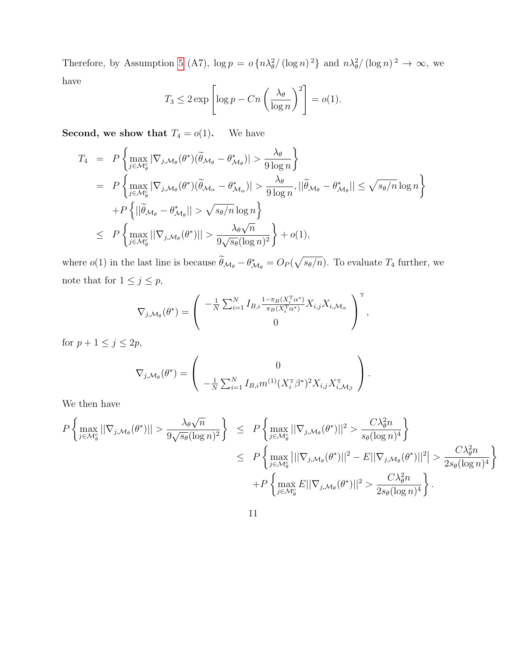Therefore, by Assumption [5](#page-17-0) (A7),  $\log p = o\left\{n\lambda_{\theta}^2/\left(\log n\right)^2\right\}$  and  $n\lambda_{\theta}^2/\left(\log n\right)^2 \to \infty$ , we have

$$
T_3 \le 2 \exp \left[ \log p - Cn \left( \frac{\lambda_\theta}{\log n} \right)^2 \right] = o(1).
$$

**Second, we show that**  $T_4 = o(1)$ . We have

$$
T_4 = P\left\{\max_{j\in\mathcal{M}_{\theta}^{c}}|\nabla_{j,\mathcal{M}_{\theta}}(\theta^{*})(\widetilde{\theta}_{\mathcal{M}_{\theta}} - \theta^{*}_{\mathcal{M}_{\theta}})| > \frac{\lambda_{\theta}}{9\log n}\right\}
$$
  
\n
$$
= P\left\{\max_{j\in\mathcal{M}_{\theta}^{c}}|\nabla_{j,\mathcal{M}_{\theta}}(\theta^{*})(\widetilde{\theta}_{\mathcal{M}_{\alpha}} - \theta^{*}_{\mathcal{M}_{\alpha}})| > \frac{\lambda_{\theta}}{9\log n}, ||\widetilde{\theta}_{\mathcal{M}_{\theta}} - \theta^{*}_{\mathcal{M}_{\theta}}|| \leq \sqrt{s_{\theta}/n}\log n\right\}
$$
  
\n
$$
+ P\left\{||\widetilde{\theta}_{\mathcal{M}_{\theta}} - \theta^{*}_{\mathcal{M}_{\theta}}|| > \sqrt{s_{\theta}/n}\log n\right\}
$$
  
\n
$$
\leq P\left\{\max_{j\in\mathcal{M}_{\theta}^{c}}||\nabla_{j,\mathcal{M}_{\theta}}(\theta^{*})|| > \frac{\lambda_{\theta}\sqrt{n}}{9\sqrt{s_{\theta}}(\log n)^{2}}\right\} + o(1),
$$

where  $o(1)$  in the last line is because  $\hat{\theta}_{\mathcal{M}_{\theta}} - \theta_{\mathcal{M}_{\theta}}^* = O_P(\sqrt{s_{\theta}/n})$ . To evaluate  $T_4$  further, we note that for  $1 \leq j \leq p$ ,

$$
\nabla_{j,\mathcal{M}_{\theta}}(\theta^*) = \left(\begin{array}{c} -\frac{1}{N} \sum_{i=1}^N I_{B,i} \frac{1-\pi_B(X_i^{\mathrm{T}} \alpha^*)}{\pi_B(X_i^{\mathrm{T}} \alpha^*)} X_{i,j} X_{i,\mathcal{M}_{\alpha}} \\ 0 \end{array}\right)^{\mathrm{T}},
$$

for  $p + 1 \leq j \leq 2p$ ,

$$
\nabla_{j,\mathcal{M}_{\theta}}(\theta^*) = \begin{pmatrix} 0 \\ 0 \\ -\frac{1}{N} \sum_{i=1}^N I_{B,i} m^{(1)} (X_i^{\mathrm{T}} \beta^*)^2 X_{i,j} X_{i,\mathcal{M}_{\beta}}^{\mathrm{T}} \end{pmatrix}.
$$

We then have

$$
P\left\{\max_{j\in\mathcal{M}_{\theta}^{c}}||\nabla_{j,\mathcal{M}_{\theta}}(\theta^{*})|| > \frac{\lambda_{\theta}\sqrt{n}}{9\sqrt{s_{\theta}}(\log n)^{2}}\right\} \leq P\left\{\max_{j\in\mathcal{M}_{\theta}^{c}}||\nabla_{j,\mathcal{M}_{\theta}}(\theta^{*})||^{2} > \frac{C\lambda_{\theta}^{2}n}{s_{\theta}(\log n)^{4}}\right\}
$$
  

$$
\leq P\left\{\max_{j\in\mathcal{M}_{\theta}^{c}}|||\nabla_{j,\mathcal{M}_{\theta}}(\theta^{*})||^{2} - E||\nabla_{j,\mathcal{M}_{\theta}}(\theta^{*})||^{2}\right\} > \frac{C\lambda_{\theta}^{2}n}{2s_{\theta}(\log n)^{4}}
$$
  

$$
+P\left\{\max_{j\in\mathcal{M}_{\theta}^{c}}E||\nabla_{j,\mathcal{M}_{\theta}}(\theta^{*})||^{2} > \frac{C\lambda_{\theta}^{2}n}{2s_{\theta}(\log n)^{4}}\right\}.
$$

 $\mathcal{L}$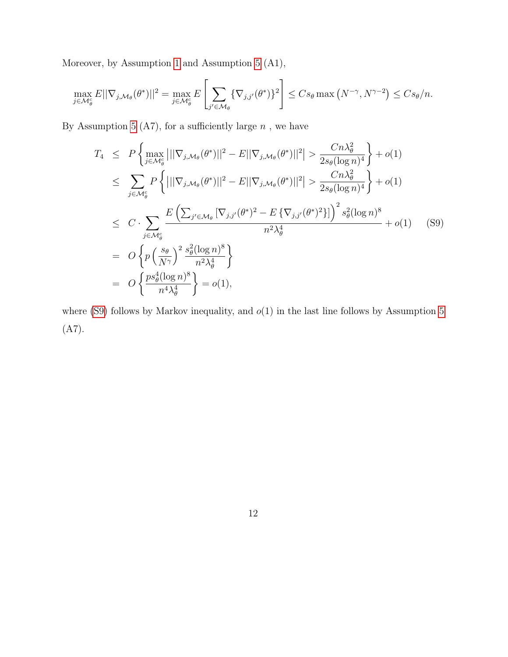Moreover, by Assumption [1](#page-6-1) and Assumption [5](#page-17-0) (A1),

$$
\max_{j\in\mathcal{M}_{\theta}^{c}} E||\nabla_{j,\mathcal{M}_{\theta}}(\theta^*)||^2 = \max_{j\in\mathcal{M}_{\theta}^{c}} E\left[\sum_{j'\in\mathcal{M}_{\theta}} \{\nabla_{j,j'}(\theta^*)\}^2\right] \leq C s_{\theta} \max\left(N^{-\gamma}, N^{\gamma-2}\right) \leq C s_{\theta}/n.
$$

By Assumption [5](#page-17-0) (A7), for a sufficiently large  $n$ , we have

<span id="page-52-0"></span>
$$
T_4 \leq P \left\{ \max_{j \in \mathcal{M}_\theta^c} |||\nabla_{j,\mathcal{M}_\theta}(\theta^*)||^2 - E||\nabla_{j,\mathcal{M}_\theta}(\theta^*)||^2 \right\} > \frac{Cn\lambda_\theta^2}{2s_\theta(\log n)^4} + o(1)
$$
  
\n
$$
\leq \sum_{j \in \mathcal{M}_\theta^c} P \left\{ |||\nabla_{j,\mathcal{M}_\theta}(\theta^*)||^2 - E||\nabla_{j,\mathcal{M}_\theta}(\theta^*)||^2 \right\} > \frac{Cn\lambda_\theta^2}{2s_\theta(\log n)^4} + o(1)
$$
  
\n
$$
\leq C \cdot \sum_{j \in \mathcal{M}_\theta^c} \frac{E\left(\sum_{j' \in \mathcal{M}_\theta} |\nabla_{j,j'}(\theta^*)^2 - E\{\nabla_{j,j'}(\theta^*)^2\}\}\right)^2 s_\theta^2(\log n)^8}{n^2\lambda_\theta^4} + o(1) \quad (S9)
$$
  
\n
$$
= O \left\{ p \left(\frac{s_\theta}{N\gamma}\right)^2 \frac{s_\theta^2(\log n)^8}{n^2\lambda_\theta^4} \right\}
$$
  
\n
$$
= O \left\{ \frac{ps_\theta^4(\log n)^8}{n^4\lambda_\theta^4} \right\} = o(1),
$$

where [\(S9\)](#page-52-0) follows by Markov inequality, and  $o(1)$  in the last line follows by Assumption [5](#page-17-0) (A7).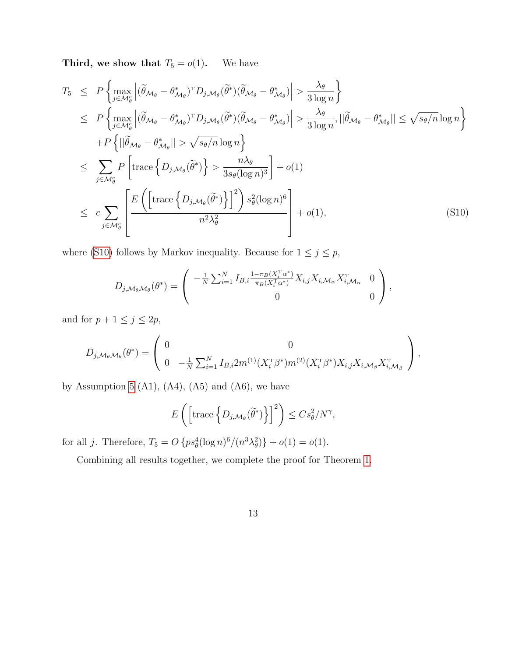**Third, we show that**  $T_5 = o(1)$ . We have

<span id="page-53-0"></span>
$$
T_5 \leq P \left\{ \max_{j \in \mathcal{M}_{\theta}^c} \left| (\widetilde{\theta}_{\mathcal{M}_{\theta}} - \theta_{\mathcal{M}_{\theta}}^*)^T D_{j,\mathcal{M}_{\theta}} (\widetilde{\theta}^*) (\widetilde{\theta}_{\mathcal{M}_{\theta}} - \theta_{\mathcal{M}_{\theta}}^*) \right| > \frac{\lambda_{\theta}}{3 \log n} \right\}
$$
  
\n
$$
\leq P \left\{ \max_{j \in \mathcal{M}_{\theta}^c} \left| (\widetilde{\theta}_{\mathcal{M}_{\theta}} - \theta_{\mathcal{M}_{\theta}}^*)^T D_{j,\mathcal{M}_{\theta}} (\widetilde{\theta}^*) (\widetilde{\theta}_{\mathcal{M}_{\theta}} - \theta_{\mathcal{M}_{\theta}}^*) \right| > \frac{\lambda_{\theta}}{3 \log n}, ||\widetilde{\theta}_{\mathcal{M}_{\theta}} - \theta_{\mathcal{M}_{\theta}}^*|| \leq \sqrt{s_{\theta}/n} \log n \right\}
$$
  
\n
$$
+ P \left\{ ||\widetilde{\theta}_{\mathcal{M}_{\theta}} - \theta_{\mathcal{M}_{\theta}}^* || > \sqrt{s_{\theta}/n} \log n \right\}
$$
  
\n
$$
\leq \sum_{j \in \mathcal{M}_{\theta}^c} P \left[ \text{trace} \left\{ D_{j,\mathcal{M}_{\theta}} (\widetilde{\theta}^*) \right\} > \frac{n \lambda_{\theta}}{3 s_{\theta} (\log n)^3} \right] + o(1)
$$
  
\n
$$
\leq c \sum_{j \in \mathcal{M}_{\theta}^c} \left[ \frac{E \left( \left[ \text{trace} \left\{ D_{j,\mathcal{M}_{\theta}} (\widetilde{\theta}^*) \right\} \right]^2 \right) s_{\theta}^2 (\log n)^6}{n^2 \lambda_{\theta}^2} \right] + o(1), \tag{S10}
$$

where [\(S10\)](#page-53-0) follows by Markov inequality. Because for  $1\leq j\leq p,$ 

$$
D_{j,\mathcal{M}_{\theta},\mathcal{M}_{\theta}}(\theta^*) = \begin{pmatrix} -\frac{1}{N} \sum_{i=1}^N I_{B,i} \frac{1 - \pi_B(X_i^{\mathrm{T}} \alpha^*)}{\pi_B(X_i^{\mathrm{T}} \alpha^*)} X_{i,j} X_{i,\mathcal{M}_{\alpha}} X_{i,\mathcal{M}_{\alpha}}^{\mathrm{T}} & 0 \\ 0 & 0 \end{pmatrix},
$$

and for  $p + 1 \leq j \leq 2p$ ,

$$
D_{j,\mathcal{M}_{\theta}\mathcal{M}_{\theta}}(\theta^{*}) = \begin{pmatrix} 0 & 0 \\ 0 & -\frac{1}{N} \sum_{i=1}^{N} I_{B,i} 2m^{(1)} (X_{i}^{T}\beta^{*}) m^{(2)} (X_{i}^{T}\beta^{*}) X_{i,j} X_{i,\mathcal{M}_{\beta}} X_{i,\mathcal{M}_{\beta}}^{T} \end{pmatrix},
$$

by Assumption [5](#page-17-0) (A1), (A4), (A5) and (A6), we have

$$
E\left(\left[\operatorname{trace}\left\{D_{j,\mathcal{M}_{\theta}}(\widetilde{\theta}^*)\right\}\right]^2\right) \leq C s_{\theta}^2/N^{\gamma},
$$

for all j. Therefore,  $T_5 = O\{ps_{\theta}^4(\log n)^6/(n^3\lambda_{\theta}^2)\} + o(1) = o(1)$ .

Combining all results together, we complete the proof for Theorem [1.](#page-18-0)

13